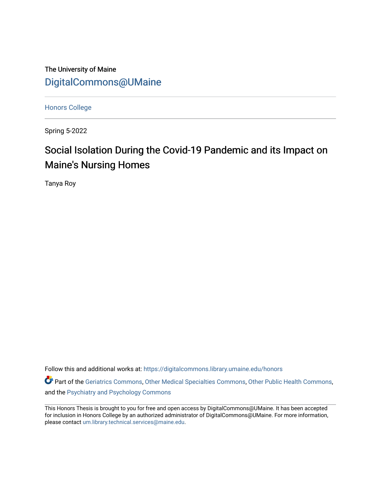The University of Maine [DigitalCommons@UMaine](https://digitalcommons.library.umaine.edu/)

[Honors College](https://digitalcommons.library.umaine.edu/honors)

Spring 5-2022

# Social Isolation During the Covid-19 Pandemic and its Impact on Maine's Nursing Homes

Tanya Roy

Follow this and additional works at: [https://digitalcommons.library.umaine.edu/honors](https://digitalcommons.library.umaine.edu/honors?utm_source=digitalcommons.library.umaine.edu%2Fhonors%2F760&utm_medium=PDF&utm_campaign=PDFCoverPages) 

Part of the [Geriatrics Commons,](https://network.bepress.com/hgg/discipline/688?utm_source=digitalcommons.library.umaine.edu%2Fhonors%2F760&utm_medium=PDF&utm_campaign=PDFCoverPages) [Other Medical Specialties Commons,](https://network.bepress.com/hgg/discipline/708?utm_source=digitalcommons.library.umaine.edu%2Fhonors%2F760&utm_medium=PDF&utm_campaign=PDFCoverPages) [Other Public Health Commons,](https://network.bepress.com/hgg/discipline/748?utm_source=digitalcommons.library.umaine.edu%2Fhonors%2F760&utm_medium=PDF&utm_campaign=PDFCoverPages) and the [Psychiatry and Psychology Commons](https://network.bepress.com/hgg/discipline/908?utm_source=digitalcommons.library.umaine.edu%2Fhonors%2F760&utm_medium=PDF&utm_campaign=PDFCoverPages) 

This Honors Thesis is brought to you for free and open access by DigitalCommons@UMaine. It has been accepted for inclusion in Honors College by an authorized administrator of DigitalCommons@UMaine. For more information, please contact [um.library.technical.services@maine.edu.](mailto:um.library.technical.services@maine.edu)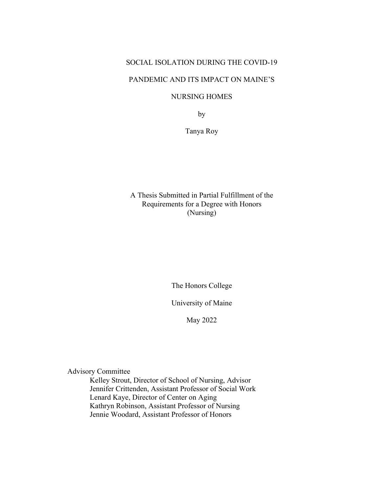# SOCIAL ISOLATION DURING THE COVID-19

## PANDEMIC AND ITS IMPACT ON MAINE'S

# NURSING HOMES

by

Tanya Roy

# A Thesis Submitted in Partial Fulfillment of the Requirements for a Degree with Honors (Nursing)

The Honors College

University of Maine

May 2022

Advisory Committee

Kelley Strout, Director of School of Nursing, Advisor Jennifer Crittenden, Assistant Professor of Social Work Lenard Kaye, Director of Center on Aging Kathryn Robinson, Assistant Professor of Nursing Jennie Woodard, Assistant Professor of Honors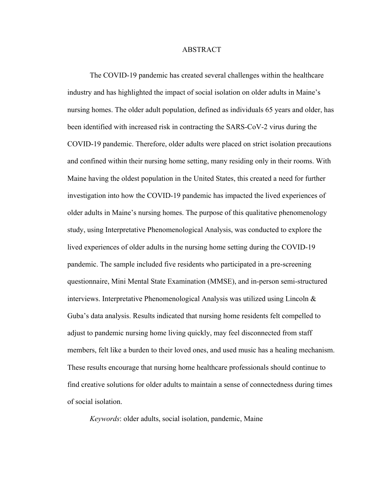#### ABSTRACT

The COVID-19 pandemic has created several challenges within the healthcare industry and has highlighted the impact of social isolation on older adults in Maine's nursing homes. The older adult population, defined as individuals 65 years and older, has been identified with increased risk in contracting the SARS-CoV-2 virus during the COVID-19 pandemic. Therefore, older adults were placed on strict isolation precautions and confined within their nursing home setting, many residing only in their rooms. With Maine having the oldest population in the United States, this created a need for further investigation into how the COVID-19 pandemic has impacted the lived experiences of older adults in Maine's nursing homes. The purpose of this qualitative phenomenology study, using Interpretative Phenomenological Analysis, was conducted to explore the lived experiences of older adults in the nursing home setting during the COVID-19 pandemic. The sample included five residents who participated in a pre-screening questionnaire, Mini Mental State Examination (MMSE), and in-person semi-structured interviews. Interpretative Phenomenological Analysis was utilized using Lincoln & Guba's data analysis. Results indicated that nursing home residents felt compelled to adjust to pandemic nursing home living quickly, may feel disconnected from staff members, felt like a burden to their loved ones, and used music has a healing mechanism. These results encourage that nursing home healthcare professionals should continue to find creative solutions for older adults to maintain a sense of connectedness during times of social isolation.

*Keywords*: older adults, social isolation, pandemic, Maine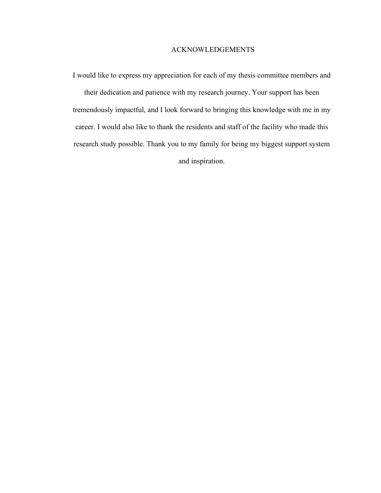## ACKNOWLEDGEMENTS

I would like to express my appreciation for each of my thesis committee members and their dedication and patience with my research journey. Your support has been tremendously impactful, and I look forward to bringing this knowledge with me in my career. I would also like to thank the residents and staff of the facility who made this research study possible. Thank you to my family for being my biggest support system and inspiration.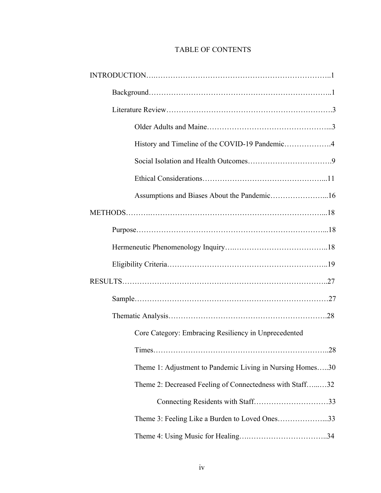# TABLE OF CONTENTS

| History and Timeline of the COVID-19 Pandemic4            |
|-----------------------------------------------------------|
|                                                           |
|                                                           |
|                                                           |
|                                                           |
|                                                           |
|                                                           |
|                                                           |
|                                                           |
|                                                           |
|                                                           |
| Core Category: Embracing Resiliency in Unprecedented      |
|                                                           |
| Theme 1: Adjustment to Pandemic Living in Nursing Homes30 |
| Theme 2: Decreased Feeling of Connectedness with Staff32  |
| Connecting Residents with Staff33                         |
| Theme 3: Feeling Like a Burden to Loved Ones33            |
|                                                           |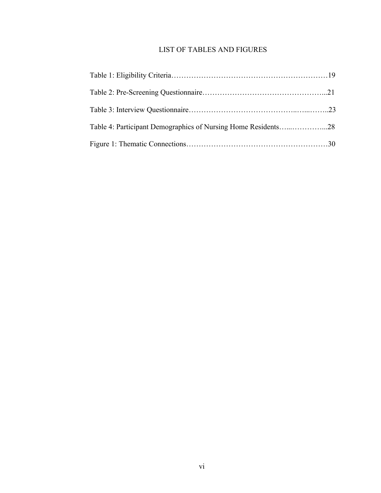# LIST OF TABLES AND FIGURES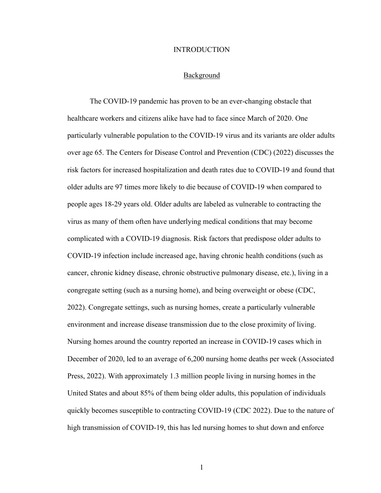#### **INTRODUCTION**

#### Background

The COVID-19 pandemic has proven to be an ever-changing obstacle that healthcare workers and citizens alike have had to face since March of 2020. One particularly vulnerable population to the COVID-19 virus and its variants are older adults over age 65. The Centers for Disease Control and Prevention (CDC) (2022) discusses the risk factors for increased hospitalization and death rates due to COVID-19 and found that older adults are 97 times more likely to die because of COVID-19 when compared to people ages 18-29 years old. Older adults are labeled as vulnerable to contracting the virus as many of them often have underlying medical conditions that may become complicated with a COVID-19 diagnosis. Risk factors that predispose older adults to COVID-19 infection include increased age, having chronic health conditions (such as cancer, chronic kidney disease, chronic obstructive pulmonary disease, etc.), living in a congregate setting (such as a nursing home), and being overweight or obese (CDC, 2022). Congregate settings, such as nursing homes, create a particularly vulnerable environment and increase disease transmission due to the close proximity of living. Nursing homes around the country reported an increase in COVID-19 cases which in December of 2020, led to an average of 6,200 nursing home deaths per week (Associated Press, 2022). With approximately 1.3 million people living in nursing homes in the United States and about 85% of them being older adults, this population of individuals quickly becomes susceptible to contracting COVID-19 (CDC 2022). Due to the nature of high transmission of COVID-19, this has led nursing homes to shut down and enforce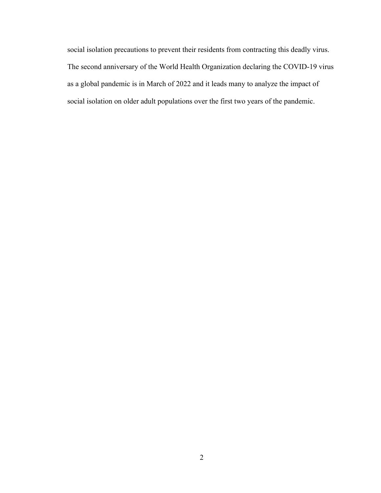social isolation precautions to prevent their residents from contracting this deadly virus. The second anniversary of the World Health Organization declaring the COVID-19 virus as a global pandemic is in March of 2022 and it leads many to analyze the impact of social isolation on older adult populations over the first two years of the pandemic.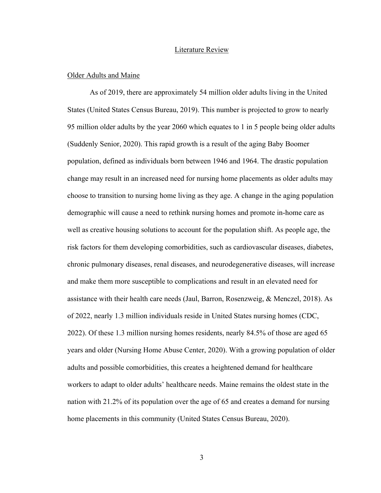#### Literature Review

#### Older Adults and Maine

As of 2019, there are approximately 54 million older adults living in the United States (United States Census Bureau, 2019). This number is projected to grow to nearly 95 million older adults by the year 2060 which equates to 1 in 5 people being older adults (Suddenly Senior, 2020). This rapid growth is a result of the aging Baby Boomer population, defined as individuals born between 1946 and 1964. The drastic population change may result in an increased need for nursing home placements as older adults may choose to transition to nursing home living as they age. A change in the aging population demographic will cause a need to rethink nursing homes and promote in-home care as well as creative housing solutions to account for the population shift. As people age, the risk factors for them developing comorbidities, such as cardiovascular diseases, diabetes, chronic pulmonary diseases, renal diseases, and neurodegenerative diseases, will increase and make them more susceptible to complications and result in an elevated need for assistance with their health care needs (Jaul, Barron, Rosenzweig, & Menczel, 2018). As of 2022, nearly 1.3 million individuals reside in United States nursing homes (CDC, 2022). Of these 1.3 million nursing homes residents, nearly 84.5% of those are aged 65 years and older (Nursing Home Abuse Center, 2020). With a growing population of older adults and possible comorbidities, this creates a heightened demand for healthcare workers to adapt to older adults' healthcare needs. Maine remains the oldest state in the nation with 21.2% of its population over the age of 65 and creates a demand for nursing home placements in this community (United States Census Bureau, 2020).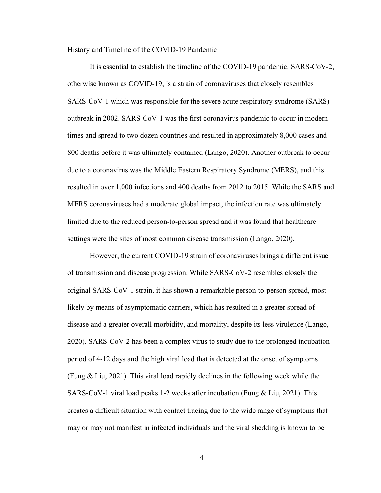#### History and Timeline of the COVID-19 Pandemic

It is essential to establish the timeline of the COVID-19 pandemic. SARS-CoV-2, otherwise known as COVID-19, is a strain of coronaviruses that closely resembles SARS-CoV-1 which was responsible for the severe acute respiratory syndrome (SARS) outbreak in 2002. SARS-CoV-1 was the first coronavirus pandemic to occur in modern times and spread to two dozen countries and resulted in approximately 8,000 cases and 800 deaths before it was ultimately contained (Lango, 2020). Another outbreak to occur due to a coronavirus was the Middle Eastern Respiratory Syndrome (MERS), and this resulted in over 1,000 infections and 400 deaths from 2012 to 2015. While the SARS and MERS coronaviruses had a moderate global impact, the infection rate was ultimately limited due to the reduced person-to-person spread and it was found that healthcare settings were the sites of most common disease transmission (Lango, 2020).

However, the current COVID-19 strain of coronaviruses brings a different issue of transmission and disease progression. While SARS-CoV-2 resembles closely the original SARS-CoV-1 strain, it has shown a remarkable person-to-person spread, most likely by means of asymptomatic carriers, which has resulted in a greater spread of disease and a greater overall morbidity, and mortality, despite its less virulence (Lango, 2020). SARS-CoV-2 has been a complex virus to study due to the prolonged incubation period of 4-12 days and the high viral load that is detected at the onset of symptoms (Fung & Liu, 2021). This viral load rapidly declines in the following week while the SARS-CoV-1 viral load peaks 1-2 weeks after incubation (Fung & Liu, 2021). This creates a difficult situation with contact tracing due to the wide range of symptoms that may or may not manifest in infected individuals and the viral shedding is known to be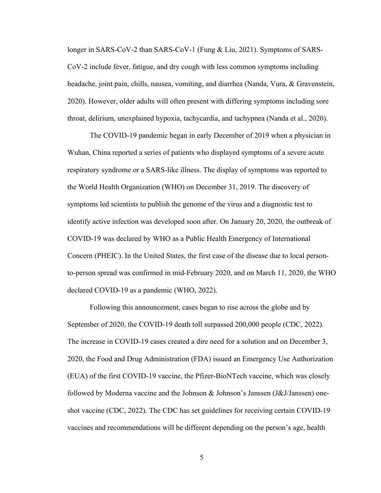longer in SARS-CoV-2 than SARS-CoV-1 (Fung & Liu, 2021). Symptoms of SARS-CoV-2 include fever, fatigue, and dry cough with less common symptoms including headache, joint pain, chills, nausea, vomiting, and diarrhea (Nanda, Vura, & Gravenstein, 2020). However, older adults will often present with differing symptoms including sore throat, delirium, unexplained hypoxia, tachycardia, and tachypnea (Nanda et al., 2020).

The COVID-19 pandemic began in early December of 2019 when a physician in Wuhan, China reported a series of patients who displayed symptoms of a severe acute respiratory syndrome or a SARS-like illness. The display of symptoms was reported to the World Health Organization (WHO) on December 31, 2019. The discovery of symptoms led scientists to publish the genome of the virus and a diagnostic test to identify active infection was developed soon after. On January 20, 2020, the outbreak of COVID-19 was declared by WHO as a Public Health Emergency of International Concern (PHEIC). In the United States, the first case of the disease due to local personto-person spread was confirmed in mid-February 2020, and on March 11, 2020, the WHO declared COVID-19 as a pandemic (WHO, 2022).

Following this announcement, cases began to rise across the globe and by September of 2020, the COVID-19 death toll surpassed 200,000 people (CDC, 2022). The increase in COVID-19 cases created a dire need for a solution and on December 3, 2020, the Food and Drug Administration (FDA) issued an Emergency Use Authorization (EUA) of the first COVID-19 vaccine, the Pfizer-BioNTech vaccine, which was closely followed by Moderna vaccine and the Johnson & Johnson's Janssen (J&J/Janssen) oneshot vaccine (CDC, 2022). The CDC has set guidelines for receiving certain COVID-19 vaccines and recommendations will be different depending on the person's age, health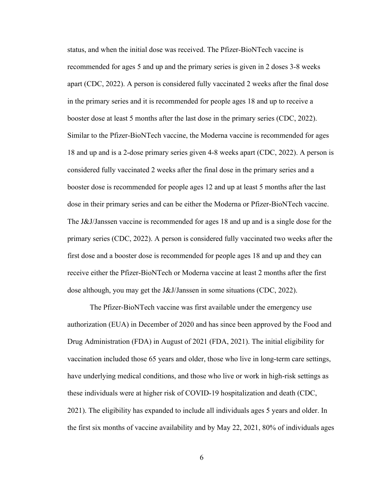status, and when the initial dose was received. The Pfizer-BioNTech vaccine is recommended for ages 5 and up and the primary series is given in 2 doses 3-8 weeks apart (CDC, 2022). A person is considered fully vaccinated 2 weeks after the final dose in the primary series and it is recommended for people ages 18 and up to receive a booster dose at least 5 months after the last dose in the primary series (CDC, 2022). Similar to the Pfizer-BioNTech vaccine, the Moderna vaccine is recommended for ages 18 and up and is a 2-dose primary series given 4-8 weeks apart (CDC, 2022). A person is considered fully vaccinated 2 weeks after the final dose in the primary series and a booster dose is recommended for people ages 12 and up at least 5 months after the last dose in their primary series and can be either the Moderna or Pfizer-BioNTech vaccine. The J&J/Janssen vaccine is recommended for ages 18 and up and is a single dose for the primary series (CDC, 2022). A person is considered fully vaccinated two weeks after the first dose and a booster dose is recommended for people ages 18 and up and they can receive either the Pfizer-BioNTech or Moderna vaccine at least 2 months after the first dose although, you may get the J&J/Janssen in some situations (CDC, 2022).

The Pfizer-BioNTech vaccine was first available under the emergency use authorization (EUA) in December of 2020 and has since been approved by the Food and Drug Administration (FDA) in August of 2021 (FDA, 2021). The initial eligibility for vaccination included those 65 years and older, those who live in long-term care settings, have underlying medical conditions, and those who live or work in high-risk settings as these individuals were at higher risk of COVID-19 hospitalization and death (CDC, 2021). The eligibility has expanded to include all individuals ages 5 years and older. In the first six months of vaccine availability and by May 22, 2021, 80% of individuals ages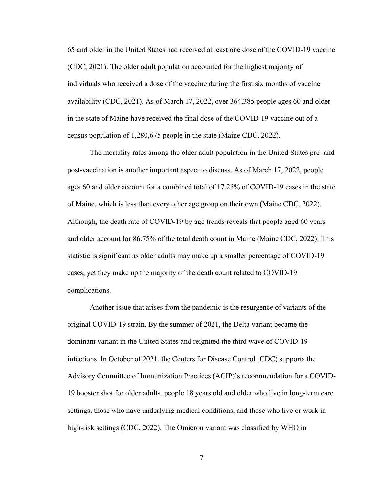65 and older in the United States had received at least one dose of the COVID-19 vaccine (CDC, 2021). The older adult population accounted for the highest majority of individuals who received a dose of the vaccine during the first six months of vaccine availability (CDC, 2021). As of March 17, 2022, over 364,385 people ages 60 and older in the state of Maine have received the final dose of the COVID-19 vaccine out of a census population of 1,280,675 people in the state (Maine CDC, 2022).

The mortality rates among the older adult population in the United States pre- and post-vaccination is another important aspect to discuss. As of March 17, 2022, people ages 60 and older account for a combined total of 17.25% of COVID-19 cases in the state of Maine, which is less than every other age group on their own (Maine CDC, 2022). Although, the death rate of COVID-19 by age trends reveals that people aged 60 years and older account for 86.75% of the total death count in Maine (Maine CDC, 2022). This statistic is significant as older adults may make up a smaller percentage of COVID-19 cases, yet they make up the majority of the death count related to COVID-19 complications.

Another issue that arises from the pandemic is the resurgence of variants of the original COVID-19 strain. By the summer of 2021, the Delta variant became the dominant variant in the United States and reignited the third wave of COVID-19 infections. In October of 2021, the Centers for Disease Control (CDC) supports the Advisory Committee of Immunization Practices (ACIP)'s recommendation for a COVID-19 booster shot for older adults, people 18 years old and older who live in long-term care settings, those who have underlying medical conditions, and those who live or work in high-risk settings (CDC, 2022). The Omicron variant was classified by WHO in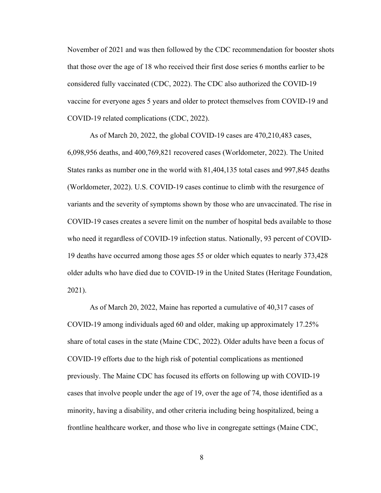November of 2021 and was then followed by the CDC recommendation for booster shots that those over the age of 18 who received their first dose series 6 months earlier to be considered fully vaccinated (CDC, 2022). The CDC also authorized the COVID-19 vaccine for everyone ages 5 years and older to protect themselves from COVID-19 and COVID-19 related complications (CDC, 2022).

As of March 20, 2022, the global COVID-19 cases are 470,210,483 cases, 6,098,956 deaths, and 400,769,821 recovered cases (Worldometer, 2022). The United States ranks as number one in the world with 81,404,135 total cases and 997,845 deaths (Worldometer, 2022). U.S. COVID-19 cases continue to climb with the resurgence of variants and the severity of symptoms shown by those who are unvaccinated. The rise in COVID-19 cases creates a severe limit on the number of hospital beds available to those who need it regardless of COVID-19 infection status. Nationally, 93 percent of COVID-19 deaths have occurred among those ages 55 or older which equates to nearly 373,428 older adults who have died due to COVID-19 in the United States (Heritage Foundation, 2021).

As of March 20, 2022, Maine has reported a cumulative of 40,317 cases of COVID-19 among individuals aged 60 and older, making up approximately 17.25% share of total cases in the state (Maine CDC, 2022). Older adults have been a focus of COVID-19 efforts due to the high risk of potential complications as mentioned previously. The Maine CDC has focused its efforts on following up with COVID-19 cases that involve people under the age of 19, over the age of 74, those identified as a minority, having a disability, and other criteria including being hospitalized, being a frontline healthcare worker, and those who live in congregate settings (Maine CDC,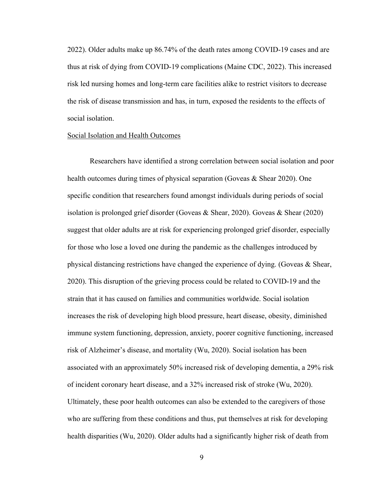2022). Older adults make up 86.74% of the death rates among COVID-19 cases and are thus at risk of dying from COVID-19 complications (Maine CDC, 2022). This increased risk led nursing homes and long-term care facilities alike to restrict visitors to decrease the risk of disease transmission and has, in turn, exposed the residents to the effects of social isolation.

#### Social Isolation and Health Outcomes

Researchers have identified a strong correlation between social isolation and poor health outcomes during times of physical separation (Goveas & Shear 2020). One specific condition that researchers found amongst individuals during periods of social isolation is prolonged grief disorder (Goveas & Shear, 2020). Goveas & Shear (2020) suggest that older adults are at risk for experiencing prolonged grief disorder, especially for those who lose a loved one during the pandemic as the challenges introduced by physical distancing restrictions have changed the experience of dying. (Goveas & Shear, 2020). This disruption of the grieving process could be related to COVID-19 and the strain that it has caused on families and communities worldwide. Social isolation increases the risk of developing high blood pressure, heart disease, obesity, diminished immune system functioning, depression, anxiety, poorer cognitive functioning, increased risk of Alzheimer's disease, and mortality (Wu, 2020). Social isolation has been associated with an approximately 50% increased risk of developing dementia, a 29% risk of incident coronary heart disease, and a 32% increased risk of stroke (Wu, 2020). Ultimately, these poor health outcomes can also be extended to the caregivers of those who are suffering from these conditions and thus, put themselves at risk for developing health disparities (Wu, 2020). Older adults had a significantly higher risk of death from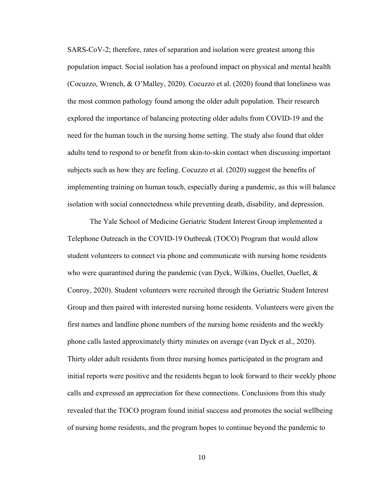SARS-CoV-2; therefore, rates of separation and isolation were greatest among this population impact. Social isolation has a profound impact on physical and mental health (Cocuzzo, Wrench, & O'Malley, 2020). Cocuzzo et al. (2020) found that loneliness was the most common pathology found among the older adult population. Their research explored the importance of balancing protecting older adults from COVID-19 and the need for the human touch in the nursing home setting. The study also found that older adults tend to respond to or benefit from skin-to-skin contact when discussing important subjects such as how they are feeling. Cocuzzo et al. (2020) suggest the benefits of implementing training on human touch, especially during a pandemic, as this will balance isolation with social connectedness while preventing death, disability, and depression.

The Yale School of Medicine Geriatric Student Interest Group implemented a Telephone Outreach in the COVID-19 Outbreak (TOCO) Program that would allow student volunteers to connect via phone and communicate with nursing home residents who were quarantined during the pandemic (van Dyck, Wilkins, Ouellet, Ouellet,  $\&$ Conroy, 2020). Student volunteers were recruited through the Geriatric Student Interest Group and then paired with interested nursing home residents. Volunteers were given the first names and landline phone numbers of the nursing home residents and the weekly phone calls lasted approximately thirty minutes on average (van Dyck et al., 2020). Thirty older adult residents from three nursing homes participated in the program and initial reports were positive and the residents began to look forward to their weekly phone calls and expressed an appreciation for these connections. Conclusions from this study revealed that the TOCO program found initial success and promotes the social wellbeing of nursing home residents, and the program hopes to continue beyond the pandemic to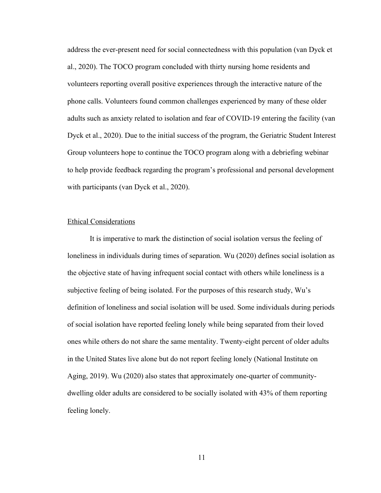address the ever-present need for social connectedness with this population (van Dyck et al., 2020). The TOCO program concluded with thirty nursing home residents and volunteers reporting overall positive experiences through the interactive nature of the phone calls. Volunteers found common challenges experienced by many of these older adults such as anxiety related to isolation and fear of COVID-19 entering the facility (van Dyck et al., 2020). Due to the initial success of the program, the Geriatric Student Interest Group volunteers hope to continue the TOCO program along with a debriefing webinar to help provide feedback regarding the program's professional and personal development with participants (van Dyck et al., 2020).

#### Ethical Considerations

It is imperative to mark the distinction of social isolation versus the feeling of loneliness in individuals during times of separation. Wu (2020) defines social isolation as the objective state of having infrequent social contact with others while loneliness is a subjective feeling of being isolated. For the purposes of this research study, Wu's definition of loneliness and social isolation will be used. Some individuals during periods of social isolation have reported feeling lonely while being separated from their loved ones while others do not share the same mentality. Twenty-eight percent of older adults in the United States live alone but do not report feeling lonely (National Institute on Aging, 2019). Wu (2020) also states that approximately one-quarter of communitydwelling older adults are considered to be socially isolated with 43% of them reporting feeling lonely.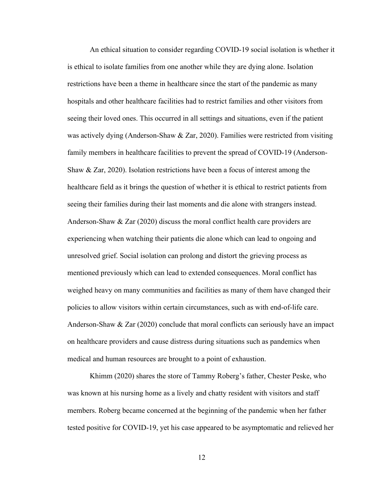An ethical situation to consider regarding COVID-19 social isolation is whether it is ethical to isolate families from one another while they are dying alone. Isolation restrictions have been a theme in healthcare since the start of the pandemic as many hospitals and other healthcare facilities had to restrict families and other visitors from seeing their loved ones. This occurred in all settings and situations, even if the patient was actively dying (Anderson-Shaw  $&\,\mathrm{Zar},\,2020$ ). Families were restricted from visiting family members in healthcare facilities to prevent the spread of COVID-19 (Anderson-Shaw & Zar, 2020). Isolation restrictions have been a focus of interest among the healthcare field as it brings the question of whether it is ethical to restrict patients from seeing their families during their last moments and die alone with strangers instead. Anderson-Shaw & Zar (2020) discuss the moral conflict health care providers are experiencing when watching their patients die alone which can lead to ongoing and unresolved grief. Social isolation can prolong and distort the grieving process as mentioned previously which can lead to extended consequences. Moral conflict has weighed heavy on many communities and facilities as many of them have changed their policies to allow visitors within certain circumstances, such as with end-of-life care. Anderson-Shaw & Zar (2020) conclude that moral conflicts can seriously have an impact on healthcare providers and cause distress during situations such as pandemics when medical and human resources are brought to a point of exhaustion.

Khimm (2020) shares the store of Tammy Roberg's father, Chester Peske, who was known at his nursing home as a lively and chatty resident with visitors and staff members. Roberg became concerned at the beginning of the pandemic when her father tested positive for COVID-19, yet his case appeared to be asymptomatic and relieved her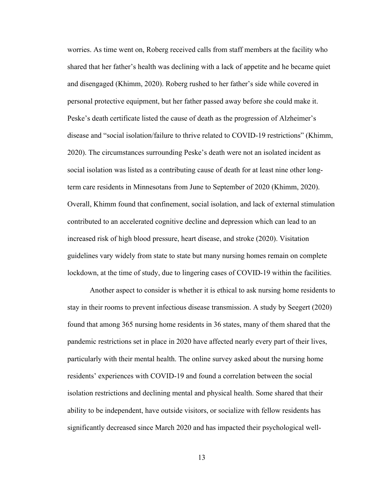worries. As time went on, Roberg received calls from staff members at the facility who shared that her father's health was declining with a lack of appetite and he became quiet and disengaged (Khimm, 2020). Roberg rushed to her father's side while covered in personal protective equipment, but her father passed away before she could make it. Peske's death certificate listed the cause of death as the progression of Alzheimer's disease and "social isolation/failure to thrive related to COVID-19 restrictions" (Khimm, 2020). The circumstances surrounding Peske's death were not an isolated incident as social isolation was listed as a contributing cause of death for at least nine other longterm care residents in Minnesotans from June to September of 2020 (Khimm, 2020). Overall, Khimm found that confinement, social isolation, and lack of external stimulation contributed to an accelerated cognitive decline and depression which can lead to an increased risk of high blood pressure, heart disease, and stroke (2020). Visitation guidelines vary widely from state to state but many nursing homes remain on complete lockdown, at the time of study, due to lingering cases of COVID-19 within the facilities.

Another aspect to consider is whether it is ethical to ask nursing home residents to stay in their rooms to prevent infectious disease transmission. A study by Seegert (2020) found that among 365 nursing home residents in 36 states, many of them shared that the pandemic restrictions set in place in 2020 have affected nearly every part of their lives, particularly with their mental health. The online survey asked about the nursing home residents' experiences with COVID-19 and found a correlation between the social isolation restrictions and declining mental and physical health. Some shared that their ability to be independent, have outside visitors, or socialize with fellow residents has significantly decreased since March 2020 and has impacted their psychological well-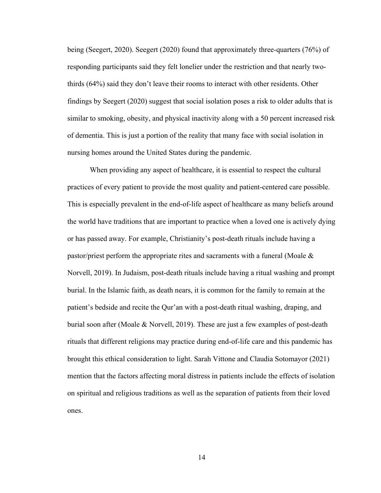being (Seegert, 2020). Seegert (2020) found that approximately three-quarters (76%) of responding participants said they felt lonelier under the restriction and that nearly twothirds (64%) said they don't leave their rooms to interact with other residents. Other findings by Seegert (2020) suggest that social isolation poses a risk to older adults that is similar to smoking, obesity, and physical inactivity along with a 50 percent increased risk of dementia. This is just a portion of the reality that many face with social isolation in nursing homes around the United States during the pandemic.

When providing any aspect of healthcare, it is essential to respect the cultural practices of every patient to provide the most quality and patient-centered care possible. This is especially prevalent in the end-of-life aspect of healthcare as many beliefs around the world have traditions that are important to practice when a loved one is actively dying or has passed away. For example, Christianity's post-death rituals include having a pastor/priest perform the appropriate rites and sacraments with a funeral (Moale & Norvell, 2019). In Judaism, post-death rituals include having a ritual washing and prompt burial. In the Islamic faith, as death nears, it is common for the family to remain at the patient's bedside and recite the Qur'an with a post-death ritual washing, draping, and burial soon after (Moale & Norvell, 2019). These are just a few examples of post-death rituals that different religions may practice during end-of-life care and this pandemic has brought this ethical consideration to light. Sarah Vittone and Claudia Sotomayor (2021) mention that the factors affecting moral distress in patients include the effects of isolation on spiritual and religious traditions as well as the separation of patients from their loved ones.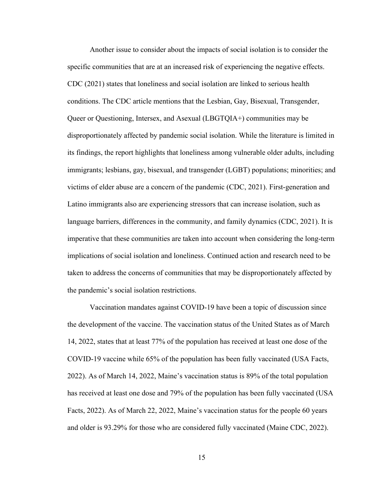Another issue to consider about the impacts of social isolation is to consider the specific communities that are at an increased risk of experiencing the negative effects. CDC (2021) states that loneliness and social isolation are linked to serious health conditions. The CDC article mentions that the Lesbian, Gay, Bisexual, Transgender, Queer or Questioning, Intersex, and Asexual (LBGTQIA+) communities may be disproportionately affected by pandemic social isolation. While the literature is limited in its findings, the report highlights that loneliness among vulnerable older adults, including immigrants; lesbians, gay, bisexual, and transgender (LGBT) populations; minorities; and victims of elder abuse are a concern of the pandemic (CDC, 2021). First-generation and Latino immigrants also are experiencing stressors that can increase isolation, such as language barriers, differences in the community, and family dynamics (CDC, 2021). It is imperative that these communities are taken into account when considering the long-term implications of social isolation and loneliness. Continued action and research need to be taken to address the concerns of communities that may be disproportionately affected by the pandemic's social isolation restrictions.

Vaccination mandates against COVID-19 have been a topic of discussion since the development of the vaccine. The vaccination status of the United States as of March 14, 2022, states that at least 77% of the population has received at least one dose of the COVID-19 vaccine while 65% of the population has been fully vaccinated (USA Facts, 2022). As of March 14, 2022, Maine's vaccination status is 89% of the total population has received at least one dose and 79% of the population has been fully vaccinated (USA Facts, 2022). As of March 22, 2022, Maine's vaccination status for the people 60 years and older is 93.29% for those who are considered fully vaccinated (Maine CDC, 2022).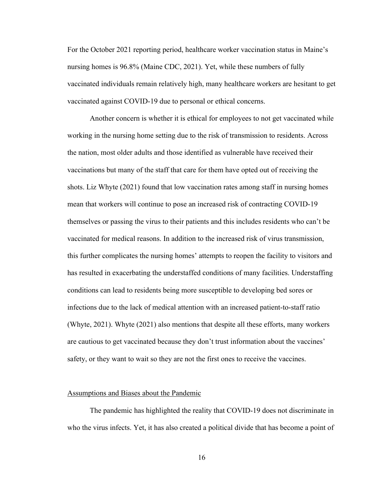For the October 2021 reporting period, healthcare worker vaccination status in Maine's nursing homes is 96.8% (Maine CDC, 2021). Yet, while these numbers of fully vaccinated individuals remain relatively high, many healthcare workers are hesitant to get vaccinated against COVID-19 due to personal or ethical concerns.

Another concern is whether it is ethical for employees to not get vaccinated while working in the nursing home setting due to the risk of transmission to residents. Across the nation, most older adults and those identified as vulnerable have received their vaccinations but many of the staff that care for them have opted out of receiving the shots. Liz Whyte (2021) found that low vaccination rates among staff in nursing homes mean that workers will continue to pose an increased risk of contracting COVID-19 themselves or passing the virus to their patients and this includes residents who can't be vaccinated for medical reasons. In addition to the increased risk of virus transmission, this further complicates the nursing homes' attempts to reopen the facility to visitors and has resulted in exacerbating the understaffed conditions of many facilities. Understaffing conditions can lead to residents being more susceptible to developing bed sores or infections due to the lack of medical attention with an increased patient-to-staff ratio (Whyte, 2021). Whyte (2021) also mentions that despite all these efforts, many workers are cautious to get vaccinated because they don't trust information about the vaccines' safety, or they want to wait so they are not the first ones to receive the vaccines.

#### Assumptions and Biases about the Pandemic

The pandemic has highlighted the reality that COVID-19 does not discriminate in who the virus infects. Yet, it has also created a political divide that has become a point of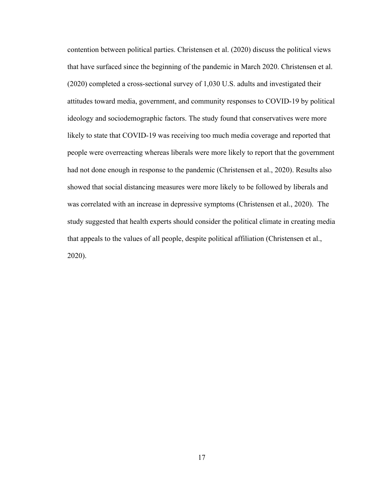contention between political parties. Christensen et al. (2020) discuss the political views that have surfaced since the beginning of the pandemic in March 2020. Christensen et al. (2020) completed a cross-sectional survey of 1,030 U.S. adults and investigated their attitudes toward media, government, and community responses to COVID-19 by political ideology and sociodemographic factors. The study found that conservatives were more likely to state that COVID-19 was receiving too much media coverage and reported that people were overreacting whereas liberals were more likely to report that the government had not done enough in response to the pandemic (Christensen et al., 2020). Results also showed that social distancing measures were more likely to be followed by liberals and was correlated with an increase in depressive symptoms (Christensen et al., 2020). The study suggested that health experts should consider the political climate in creating media that appeals to the values of all people, despite political affiliation (Christensen et al., 2020).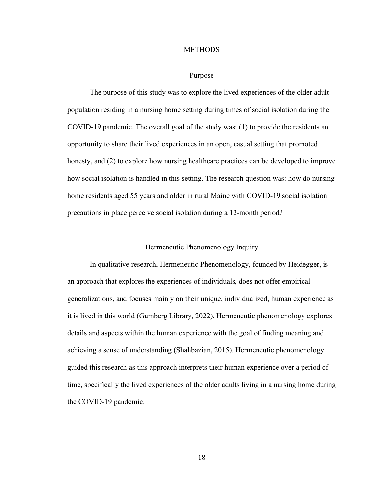#### **METHODS**

#### Purpose

The purpose of this study was to explore the lived experiences of the older adult population residing in a nursing home setting during times of social isolation during the COVID-19 pandemic. The overall goal of the study was: (1) to provide the residents an opportunity to share their lived experiences in an open, casual setting that promoted honesty, and (2) to explore how nursing healthcare practices can be developed to improve how social isolation is handled in this setting. The research question was: how do nursing home residents aged 55 years and older in rural Maine with COVID-19 social isolation precautions in place perceive social isolation during a 12-month period?

#### Hermeneutic Phenomenology Inquiry

In qualitative research, Hermeneutic Phenomenology, founded by Heidegger, is an approach that explores the experiences of individuals, does not offer empirical generalizations, and focuses mainly on their unique, individualized, human experience as it is lived in this world (Gumberg Library, 2022). Hermeneutic phenomenology explores details and aspects within the human experience with the goal of finding meaning and achieving a sense of understanding (Shahbazian, 2015). Hermeneutic phenomenology guided this research as this approach interprets their human experience over a period of time, specifically the lived experiences of the older adults living in a nursing home during the COVID-19 pandemic.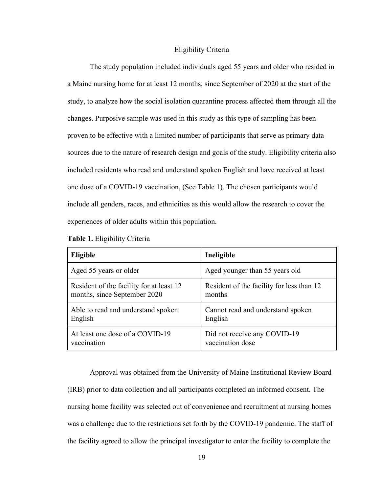#### Eligibility Criteria

The study population included individuals aged 55 years and older who resided in a Maine nursing home for at least 12 months, since September of 2020 at the start of the study, to analyze how the social isolation quarantine process affected them through all the changes. Purposive sample was used in this study as this type of sampling has been proven to be effective with a limited number of participants that serve as primary data sources due to the nature of research design and goals of the study. Eligibility criteria also included residents who read and understand spoken English and have received at least one dose of a COVID-19 vaccination, (See Table 1). The chosen participants would include all genders, races, and ethnicities as this would allow the research to cover the experiences of older adults within this population.

| Eligible                                 | Ineligible                                |
|------------------------------------------|-------------------------------------------|
| Aged 55 years or older                   | Aged younger than 55 years old            |
| Resident of the facility for at least 12 | Resident of the facility for less than 12 |
| months, since September 2020             | months                                    |
| Able to read and understand spoken       | Cannot read and understand spoken         |
| English                                  | English                                   |
| At least one dose of a COVID-19          | Did not receive any COVID-19              |
| vaccination                              | vaccination dose                          |

Approval was obtained from the University of Maine Institutional Review Board (IRB) prior to data collection and all participants completed an informed consent. The nursing home facility was selected out of convenience and recruitment at nursing homes was a challenge due to the restrictions set forth by the COVID-19 pandemic. The staff of the facility agreed to allow the principal investigator to enter the facility to complete the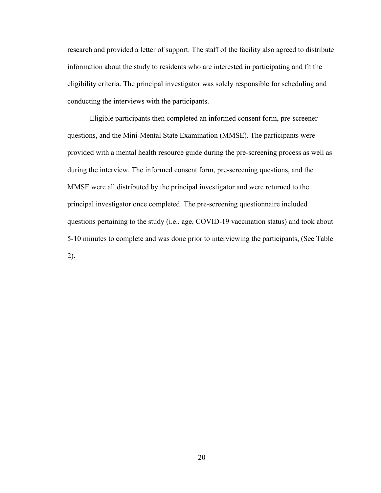research and provided a letter of support. The staff of the facility also agreed to distribute information about the study to residents who are interested in participating and fit the eligibility criteria. The principal investigator was solely responsible for scheduling and conducting the interviews with the participants.

Eligible participants then completed an informed consent form, pre-screener questions, and the Mini-Mental State Examination (MMSE). The participants were provided with a mental health resource guide during the pre-screening process as well as during the interview. The informed consent form, pre-screening questions, and the MMSE were all distributed by the principal investigator and were returned to the principal investigator once completed. The pre-screening questionnaire included questions pertaining to the study (i.e., age, COVID-19 vaccination status) and took about 5-10 minutes to complete and was done prior to interviewing the participants, (See Table 2).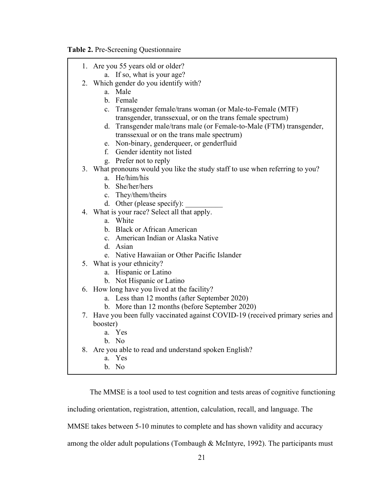**Table 2.** Pre-Screening Questionnaire

| 1. Are you 55 years old or older?                                               |
|---------------------------------------------------------------------------------|
| a. If so, what is your age?                                                     |
| 2. Which gender do you identify with?                                           |
| a. Male                                                                         |
| b. Female                                                                       |
| c. Transgender female/trans woman (or Male-to-Female (MTF)                      |
| transgender, transsexual, or on the trans female spectrum)                      |
| d. Transgender male/trans male (or Female-to-Male (FTM) transgender,            |
| transsexual or on the trans male spectrum)                                      |
| e. Non-binary, genderqueer, or genderfluid                                      |
| f. Gender identity not listed                                                   |
| g. Prefer not to reply                                                          |
| 3. What pronouns would you like the study staff to use when referring to you?   |
| a. He/him/his                                                                   |
| b. She/her/hers                                                                 |
| c. They/them/theirs                                                             |
| d. Other (please specify):                                                      |
| 4. What is your race? Select all that apply.                                    |
| a. White                                                                        |
| b. Black or African American                                                    |
| c. American Indian or Alaska Native                                             |
| d. Asian                                                                        |
| e. Native Hawaiian or Other Pacific Islander                                    |
| 5. What is your ethnicity?                                                      |
| a. Hispanic or Latino                                                           |
| b. Not Hispanic or Latino                                                       |
| 6. How long have you lived at the facility?                                     |
| a. Less than 12 months (after September 2020)                                   |
| b. More than 12 months (before September 2020)                                  |
| 7. Have you been fully vaccinated against COVID-19 (received primary series and |
| booster)<br>a. Yes                                                              |
| b. No                                                                           |
|                                                                                 |
| 8. Are you able to read and understand spoken English?<br>a. Yes                |
| b. No                                                                           |
|                                                                                 |

The MMSE is a tool used to test cognition and tests areas of cognitive functioning

including orientation, registration, attention, calculation, recall, and language. The

MMSE takes between 5-10 minutes to complete and has shown validity and accuracy

among the older adult populations (Tombaugh & McIntyre, 1992). The participants must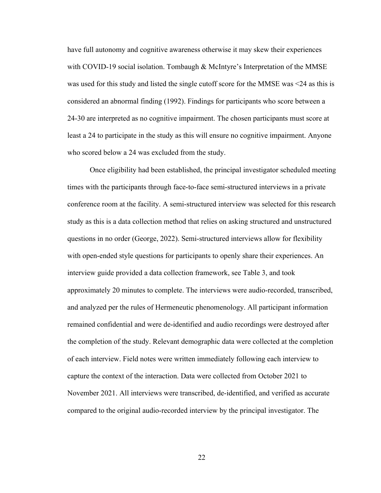have full autonomy and cognitive awareness otherwise it may skew their experiences with COVID-19 social isolation. Tombaugh & McIntyre's Interpretation of the MMSE was used for this study and listed the single cutoff score for the MMSE was <24 as this is considered an abnormal finding (1992). Findings for participants who score between a 24-30 are interpreted as no cognitive impairment. The chosen participants must score at least a 24 to participate in the study as this will ensure no cognitive impairment. Anyone who scored below a 24 was excluded from the study.

Once eligibility had been established, the principal investigator scheduled meeting times with the participants through face-to-face semi-structured interviews in a private conference room at the facility. A semi-structured interview was selected for this research study as this is a data collection method that relies on asking structured and unstructured questions in no order (George, 2022). Semi-structured interviews allow for flexibility with open-ended style questions for participants to openly share their experiences. An interview guide provided a data collection framework, see Table 3, and took approximately 20 minutes to complete. The interviews were audio-recorded, transcribed, and analyzed per the rules of Hermeneutic phenomenology. All participant information remained confidential and were de-identified and audio recordings were destroyed after the completion of the study. Relevant demographic data were collected at the completion of each interview. Field notes were written immediately following each interview to capture the context of the interaction. Data were collected from October 2021 to November 2021. All interviews were transcribed, de-identified, and verified as accurate compared to the original audio-recorded interview by the principal investigator. The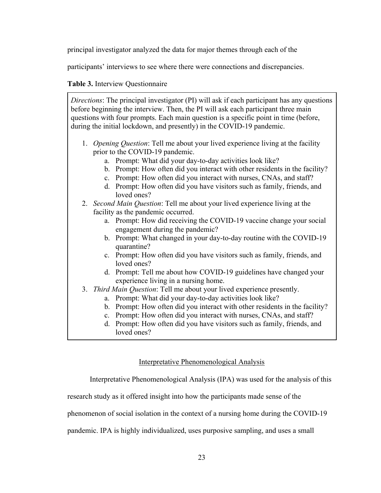principal investigator analyzed the data for major themes through each of the

participants' interviews to see where there were connections and discrepancies.

## **Table 3.** Interview Questionnaire

*Directions*: The principal investigator (PI) will ask if each participant has any questions before beginning the interview. Then, the PI will ask each participant three main questions with four prompts. Each main question is a specific point in time (before, during the initial lockdown, and presently) in the COVID-19 pandemic.

- 1. *Opening Question*: Tell me about your lived experience living at the facility prior to the COVID-19 pandemic.
	- a. Prompt: What did your day-to-day activities look like?
	- b. Prompt: How often did you interact with other residents in the facility?
	- c. Prompt: How often did you interact with nurses, CNAs, and staff?
	- d. Prompt: How often did you have visitors such as family, friends, and loved ones?

2. *Second Main Question*: Tell me about your lived experience living at the facility as the pandemic occurred.

- a. Prompt: How did receiving the COVID-19 vaccine change your social engagement during the pandemic?
- b. Prompt: What changed in your day-to-day routine with the COVID-19 quarantine?
- c. Prompt: How often did you have visitors such as family, friends, and loved ones?
- d. Prompt: Tell me about how COVID-19 guidelines have changed your experience living in a nursing home.
- 3. *Third Main Question*: Tell me about your lived experience presently.
	- a. Prompt: What did your day-to-day activities look like?
	- b. Prompt: How often did you interact with other residents in the facility?
	- c. Prompt: How often did you interact with nurses, CNAs, and staff?
	- d. Prompt: How often did you have visitors such as family, friends, and loved ones?

## Interpretative Phenomenological Analysis

Interpretative Phenomenological Analysis (IPA) was used for the analysis of this

research study as it offered insight into how the participants made sense of the

phenomenon of social isolation in the context of a nursing home during the COVID-19

pandemic. IPA is highly individualized, uses purposive sampling, and uses a small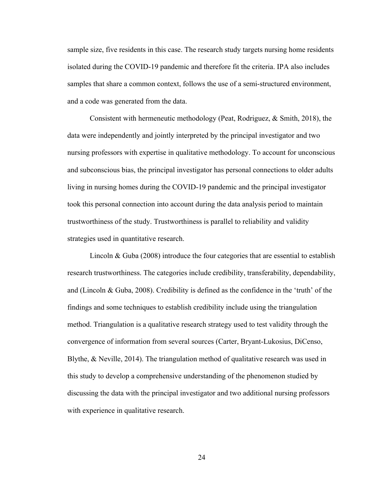sample size, five residents in this case. The research study targets nursing home residents isolated during the COVID-19 pandemic and therefore fit the criteria. IPA also includes samples that share a common context, follows the use of a semi-structured environment, and a code was generated from the data.

Consistent with hermeneutic methodology (Peat, Rodriguez, & Smith, 2018), the data were independently and jointly interpreted by the principal investigator and two nursing professors with expertise in qualitative methodology. To account for unconscious and subconscious bias, the principal investigator has personal connections to older adults living in nursing homes during the COVID-19 pandemic and the principal investigator took this personal connection into account during the data analysis period to maintain trustworthiness of the study. Trustworthiness is parallel to reliability and validity strategies used in quantitative research.

Lincoln & Guba (2008) introduce the four categories that are essential to establish research trustworthiness. The categories include credibility, transferability, dependability, and (Lincoln & Guba, 2008). Credibility is defined as the confidence in the 'truth' of the findings and some techniques to establish credibility include using the triangulation method. Triangulation is a qualitative research strategy used to test validity through the convergence of information from several sources (Carter, Bryant-Lukosius, DiCenso, Blythe, & Neville, 2014). The triangulation method of qualitative research was used in this study to develop a comprehensive understanding of the phenomenon studied by discussing the data with the principal investigator and two additional nursing professors with experience in qualitative research.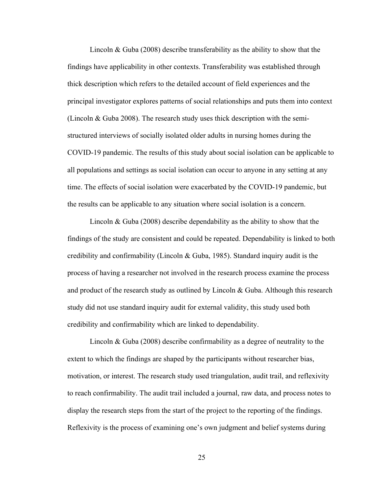Lincoln & Guba (2008) describe transferability as the ability to show that the findings have applicability in other contexts. Transferability was established through thick description which refers to the detailed account of field experiences and the principal investigator explores patterns of social relationships and puts them into context (Lincoln & Guba 2008). The research study uses thick description with the semistructured interviews of socially isolated older adults in nursing homes during the COVID-19 pandemic. The results of this study about social isolation can be applicable to all populations and settings as social isolation can occur to anyone in any setting at any time. The effects of social isolation were exacerbated by the COVID-19 pandemic, but the results can be applicable to any situation where social isolation is a concern.

Lincoln & Guba (2008) describe dependability as the ability to show that the findings of the study are consistent and could be repeated. Dependability is linked to both credibility and confirmability (Lincoln & Guba, 1985). Standard inquiry audit is the process of having a researcher not involved in the research process examine the process and product of the research study as outlined by Lincoln & Guba. Although this research study did not use standard inquiry audit for external validity, this study used both credibility and confirmability which are linked to dependability.

Lincoln & Guba (2008) describe confirmability as a degree of neutrality to the extent to which the findings are shaped by the participants without researcher bias, motivation, or interest. The research study used triangulation, audit trail, and reflexivity to reach confirmability. The audit trail included a journal, raw data, and process notes to display the research steps from the start of the project to the reporting of the findings. Reflexivity is the process of examining one's own judgment and belief systems during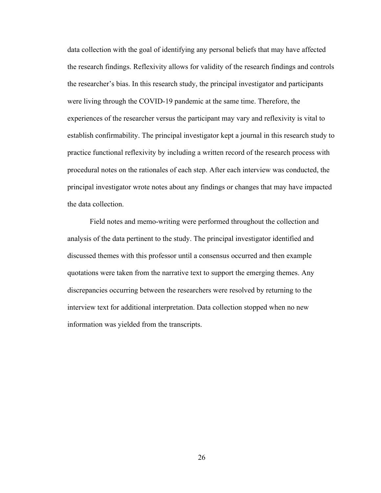data collection with the goal of identifying any personal beliefs that may have affected the research findings. Reflexivity allows for validity of the research findings and controls the researcher's bias. In this research study, the principal investigator and participants were living through the COVID-19 pandemic at the same time. Therefore, the experiences of the researcher versus the participant may vary and reflexivity is vital to establish confirmability. The principal investigator kept a journal in this research study to practice functional reflexivity by including a written record of the research process with procedural notes on the rationales of each step. After each interview was conducted, the principal investigator wrote notes about any findings or changes that may have impacted the data collection.

Field notes and memo-writing were performed throughout the collection and analysis of the data pertinent to the study. The principal investigator identified and discussed themes with this professor until a consensus occurred and then example quotations were taken from the narrative text to support the emerging themes. Any discrepancies occurring between the researchers were resolved by returning to the interview text for additional interpretation. Data collection stopped when no new information was yielded from the transcripts.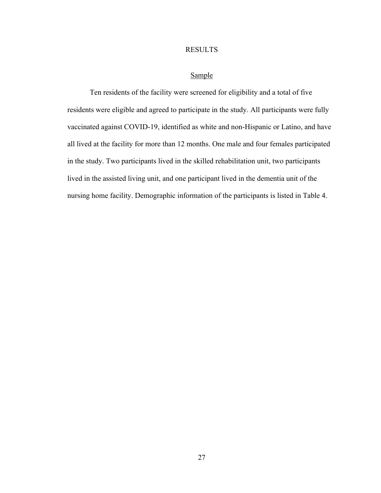## RESULTS

#### Sample

Ten residents of the facility were screened for eligibility and a total of five residents were eligible and agreed to participate in the study. All participants were fully vaccinated against COVID-19, identified as white and non-Hispanic or Latino, and have all lived at the facility for more than 12 months. One male and four females participated in the study. Two participants lived in the skilled rehabilitation unit, two participants lived in the assisted living unit, and one participant lived in the dementia unit of the nursing home facility. Demographic information of the participants is listed in Table 4.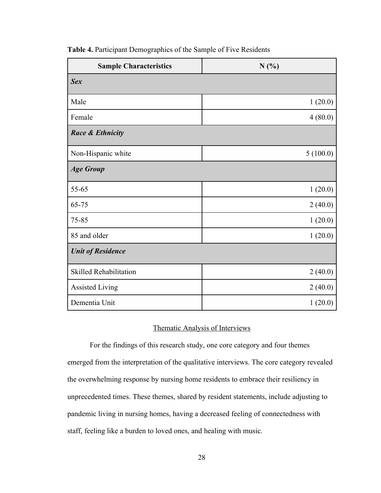| <b>Sample Characteristics</b> | N(%)     |  |
|-------------------------------|----------|--|
| <b>Sex</b>                    |          |  |
| Male                          | 1(20.0)  |  |
| Female                        | 4(80.0)  |  |
| <b>Race &amp; Ethnicity</b>   |          |  |
| Non-Hispanic white            | 5(100.0) |  |
| <b>Age Group</b>              |          |  |
| 55-65                         | 1(20.0)  |  |
| 65-75                         | 2(40.0)  |  |
| 75-85                         | 1(20.0)  |  |
| 85 and older                  | 1(20.0)  |  |
| <b>Unit of Residence</b>      |          |  |
| <b>Skilled Rehabilitation</b> | 2(40.0)  |  |
| <b>Assisted Living</b>        | 2(40.0)  |  |
| Dementia Unit                 | 1(20.0)  |  |

**Table 4.** Participant Demographics of the Sample of Five Residents

# Thematic Analysis of Interviews

For the findings of this research study, one core category and four themes emerged from the interpretation of the qualitative interviews. The core category revealed the overwhelming response by nursing home residents to embrace their resiliency in unprecedented times. These themes, shared by resident statements, include adjusting to pandemic living in nursing homes, having a decreased feeling of connectedness with staff, feeling like a burden to loved ones, and healing with music.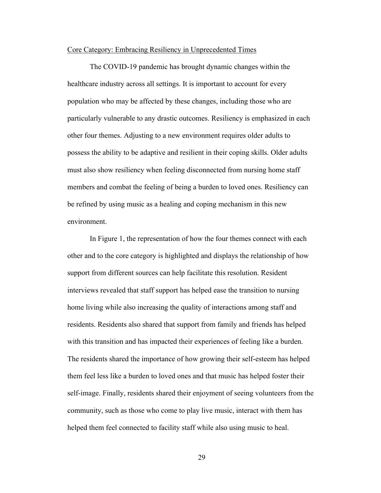#### Core Category: Embracing Resiliency in Unprecedented Times

The COVID-19 pandemic has brought dynamic changes within the healthcare industry across all settings. It is important to account for every population who may be affected by these changes, including those who are particularly vulnerable to any drastic outcomes. Resiliency is emphasized in each other four themes. Adjusting to a new environment requires older adults to possess the ability to be adaptive and resilient in their coping skills. Older adults must also show resiliency when feeling disconnected from nursing home staff members and combat the feeling of being a burden to loved ones. Resiliency can be refined by using music as a healing and coping mechanism in this new environment.

In Figure 1, the representation of how the four themes connect with each other and to the core category is highlighted and displays the relationship of how support from different sources can help facilitate this resolution. Resident interviews revealed that staff support has helped ease the transition to nursing home living while also increasing the quality of interactions among staff and residents. Residents also shared that support from family and friends has helped with this transition and has impacted their experiences of feeling like a burden. The residents shared the importance of how growing their self-esteem has helped them feel less like a burden to loved ones and that music has helped foster their self-image. Finally, residents shared their enjoyment of seeing volunteers from the community, such as those who come to play live music, interact with them has helped them feel connected to facility staff while also using music to heal.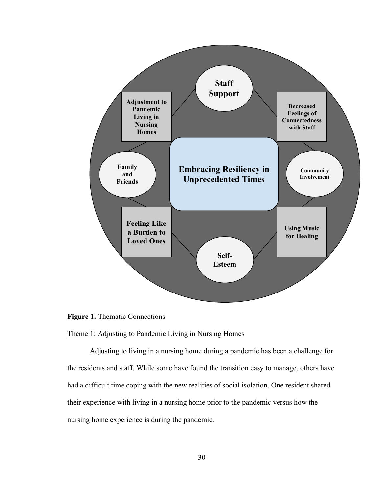

**Figure 1.** Thematic Connections

# Theme 1: Adjusting to Pandemic Living in Nursing Homes

Adjusting to living in a nursing home during a pandemic has been a challenge for the residents and staff. While some have found the transition easy to manage, others have had a difficult time coping with the new realities of social isolation. One resident shared their experience with living in a nursing home prior to the pandemic versus how the nursing home experience is during the pandemic.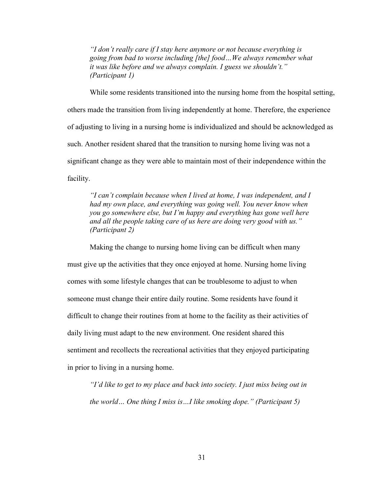*"I don't really care if I stay here anymore or not because everything is going from bad to worse including [the] food…We always remember what it was like before and we always complain. I guess we shouldn't." (Participant 1)*

While some residents transitioned into the nursing home from the hospital setting, others made the transition from living independently at home. Therefore, the experience of adjusting to living in a nursing home is individualized and should be acknowledged as such. Another resident shared that the transition to nursing home living was not a significant change as they were able to maintain most of their independence within the facility.

*"I can't complain because when I lived at home, I was independent, and I had my own place, and everything was going well. You never know when you go somewhere else, but I'm happy and everything has gone well here and all the people taking care of us here are doing very good with us." (Participant 2)*

Making the change to nursing home living can be difficult when many must give up the activities that they once enjoyed at home. Nursing home living comes with some lifestyle changes that can be troublesome to adjust to when someone must change their entire daily routine. Some residents have found it difficult to change their routines from at home to the facility as their activities of daily living must adapt to the new environment. One resident shared this sentiment and recollects the recreational activities that they enjoyed participating in prior to living in a nursing home.

*"I'd like to get to my place and back into society. I just miss being out in the world… One thing I miss is…I like smoking dope." (Participant 5)*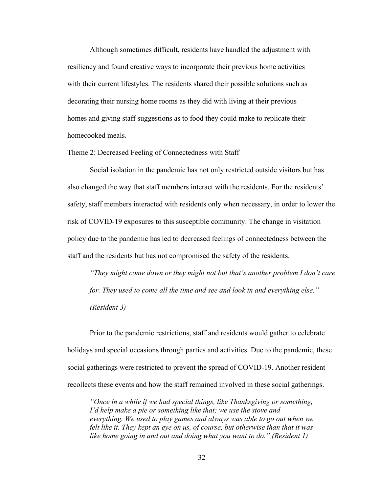Although sometimes difficult, residents have handled the adjustment with resiliency and found creative ways to incorporate their previous home activities with their current lifestyles. The residents shared their possible solutions such as decorating their nursing home rooms as they did with living at their previous homes and giving staff suggestions as to food they could make to replicate their homecooked meals.

### Theme 2: Decreased Feeling of Connectedness with Staff

Social isolation in the pandemic has not only restricted outside visitors but has also changed the way that staff members interact with the residents. For the residents' safety, staff members interacted with residents only when necessary, in order to lower the risk of COVID-19 exposures to this susceptible community. The change in visitation policy due to the pandemic has led to decreased feelings of connectedness between the staff and the residents but has not compromised the safety of the residents.

*"They might come down or they might not but that's another problem I don't care for. They used to come all the time and see and look in and everything else." (Resident 3)*

Prior to the pandemic restrictions, staff and residents would gather to celebrate holidays and special occasions through parties and activities. Due to the pandemic, these social gatherings were restricted to prevent the spread of COVID-19. Another resident recollects these events and how the staff remained involved in these social gatherings.

*"Once in a while if we had special things, like Thanksgiving or something, I'd help make a pie or something like that; we use the stove and everything. We used to play games and always was able to go out when we felt like it. They kept an eye on us, of course, but otherwise than that it was like home going in and out and doing what you want to do." (Resident 1)*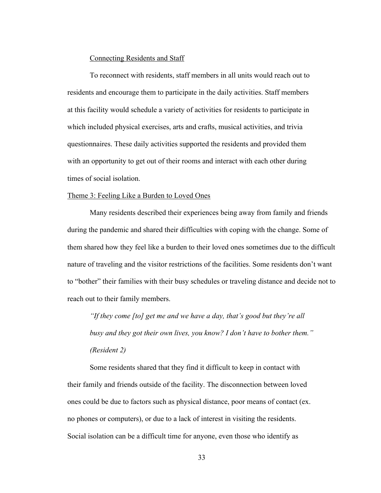## Connecting Residents and Staff

To reconnect with residents, staff members in all units would reach out to residents and encourage them to participate in the daily activities. Staff members at this facility would schedule a variety of activities for residents to participate in which included physical exercises, arts and crafts, musical activities, and trivia questionnaires. These daily activities supported the residents and provided them with an opportunity to get out of their rooms and interact with each other during times of social isolation.

#### Theme 3: Feeling Like a Burden to Loved Ones

Many residents described their experiences being away from family and friends during the pandemic and shared their difficulties with coping with the change. Some of them shared how they feel like a burden to their loved ones sometimes due to the difficult nature of traveling and the visitor restrictions of the facilities. Some residents don't want to "bother" their families with their busy schedules or traveling distance and decide not to reach out to their family members.

*"If they come [to] get me and we have a day, that's good but they're all busy and they got their own lives, you know? I don't have to bother them." (Resident 2)*

Some residents shared that they find it difficult to keep in contact with their family and friends outside of the facility. The disconnection between loved ones could be due to factors such as physical distance, poor means of contact (ex. no phones or computers), or due to a lack of interest in visiting the residents. Social isolation can be a difficult time for anyone, even those who identify as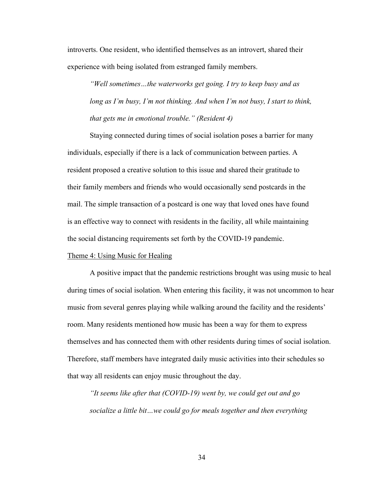introverts. One resident, who identified themselves as an introvert, shared their experience with being isolated from estranged family members.

*"Well sometimes…the waterworks get going. I try to keep busy and as long as I'm busy, I'm not thinking. And when I'm not busy, I start to think, that gets me in emotional trouble." (Resident 4)*

Staying connected during times of social isolation poses a barrier for many individuals, especially if there is a lack of communication between parties. A resident proposed a creative solution to this issue and shared their gratitude to their family members and friends who would occasionally send postcards in the mail. The simple transaction of a postcard is one way that loved ones have found is an effective way to connect with residents in the facility, all while maintaining the social distancing requirements set forth by the COVID-19 pandemic.

#### Theme 4: Using Music for Healing

A positive impact that the pandemic restrictions brought was using music to heal during times of social isolation. When entering this facility, it was not uncommon to hear music from several genres playing while walking around the facility and the residents' room. Many residents mentioned how music has been a way for them to express themselves and has connected them with other residents during times of social isolation. Therefore, staff members have integrated daily music activities into their schedules so that way all residents can enjoy music throughout the day.

*"It seems like after that (COVID-19) went by, we could get out and go socialize a little bit…we could go for meals together and then everything*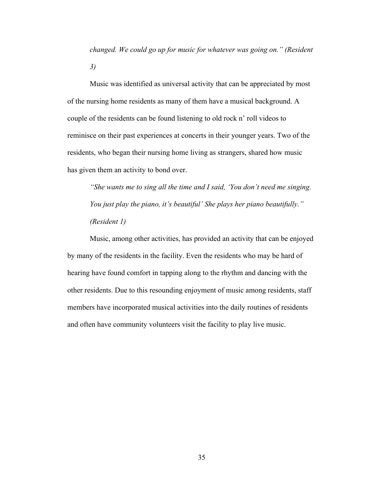*changed. We could go up for music for whatever was going on." (Resident 3)*

Music was identified as universal activity that can be appreciated by most of the nursing home residents as many of them have a musical background. A couple of the residents can be found listening to old rock n' roll videos to reminisce on their past experiences at concerts in their younger years. Two of the residents, who began their nursing home living as strangers, shared how music has given them an activity to bond over.

*"She wants me to sing all the time and I said, 'You don't need me singing. You just play the piano, it's beautiful' She plays her piano beautifully." (Resident 1)*

Music, among other activities, has provided an activity that can be enjoyed by many of the residents in the facility. Even the residents who may be hard of hearing have found comfort in tapping along to the rhythm and dancing with the other residents. Due to this resounding enjoyment of music among residents, staff members have incorporated musical activities into the daily routines of residents and often have community volunteers visit the facility to play live music.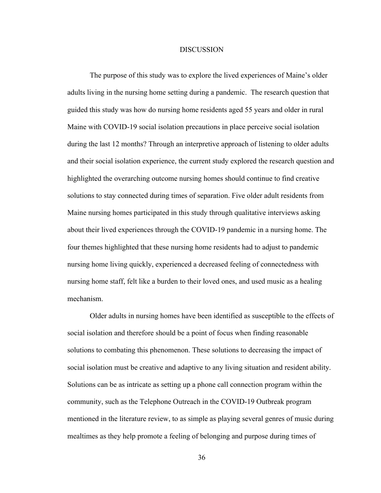#### **DISCUSSION**

The purpose of this study was to explore the lived experiences of Maine's older adults living in the nursing home setting during a pandemic. The research question that guided this study was how do nursing home residents aged 55 years and older in rural Maine with COVID-19 social isolation precautions in place perceive social isolation during the last 12 months? Through an interpretive approach of listening to older adults and their social isolation experience, the current study explored the research question and highlighted the overarching outcome nursing homes should continue to find creative solutions to stay connected during times of separation. Five older adult residents from Maine nursing homes participated in this study through qualitative interviews asking about their lived experiences through the COVID-19 pandemic in a nursing home. The four themes highlighted that these nursing home residents had to adjust to pandemic nursing home living quickly, experienced a decreased feeling of connectedness with nursing home staff, felt like a burden to their loved ones, and used music as a healing mechanism.

Older adults in nursing homes have been identified as susceptible to the effects of social isolation and therefore should be a point of focus when finding reasonable solutions to combating this phenomenon. These solutions to decreasing the impact of social isolation must be creative and adaptive to any living situation and resident ability. Solutions can be as intricate as setting up a phone call connection program within the community, such as the Telephone Outreach in the COVID-19 Outbreak program mentioned in the literature review, to as simple as playing several genres of music during mealtimes as they help promote a feeling of belonging and purpose during times of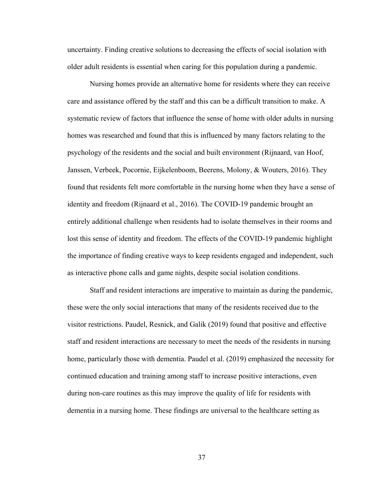uncertainty. Finding creative solutions to decreasing the effects of social isolation with older adult residents is essential when caring for this population during a pandemic.

Nursing homes provide an alternative home for residents where they can receive care and assistance offered by the staff and this can be a difficult transition to make. A systematic review of factors that influence the sense of home with older adults in nursing homes was researched and found that this is influenced by many factors relating to the psychology of the residents and the social and built environment (Rijnaard, van Hoof, Janssen, Verbeek, Pocornie, Eijkelenboom, Beerens, Molony, & Wouters, 2016). They found that residents felt more comfortable in the nursing home when they have a sense of identity and freedom (Rijnaard et al., 2016). The COVID-19 pandemic brought an entirely additional challenge when residents had to isolate themselves in their rooms and lost this sense of identity and freedom. The effects of the COVID-19 pandemic highlight the importance of finding creative ways to keep residents engaged and independent, such as interactive phone calls and game nights, despite social isolation conditions.

Staff and resident interactions are imperative to maintain as during the pandemic, these were the only social interactions that many of the residents received due to the visitor restrictions. Paudel, Resnick, and Galik (2019) found that positive and effective staff and resident interactions are necessary to meet the needs of the residents in nursing home, particularly those with dementia. Paudel et al. (2019) emphasized the necessity for continued education and training among staff to increase positive interactions, even during non-care routines as this may improve the quality of life for residents with dementia in a nursing home. These findings are universal to the healthcare setting as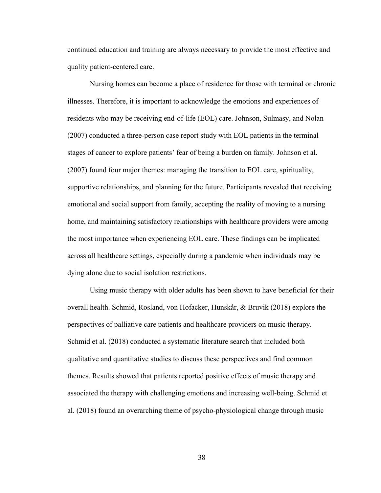continued education and training are always necessary to provide the most effective and quality patient-centered care.

Nursing homes can become a place of residence for those with terminal or chronic illnesses. Therefore, it is important to acknowledge the emotions and experiences of residents who may be receiving end-of-life (EOL) care. Johnson, Sulmasy, and Nolan (2007) conducted a three-person case report study with EOL patients in the terminal stages of cancer to explore patients' fear of being a burden on family. Johnson et al. (2007) found four major themes: managing the transition to EOL care, spirituality, supportive relationships, and planning for the future. Participants revealed that receiving emotional and social support from family, accepting the reality of moving to a nursing home, and maintaining satisfactory relationships with healthcare providers were among the most importance when experiencing EOL care. These findings can be implicated across all healthcare settings, especially during a pandemic when individuals may be dying alone due to social isolation restrictions.

Using music therapy with older adults has been shown to have beneficial for their overall health. Schmid, Rosland, von Hofacker, Hunskår, & Bruvik (2018) explore the perspectives of palliative care patients and healthcare providers on music therapy. Schmid et al. (2018) conducted a systematic literature search that included both qualitative and quantitative studies to discuss these perspectives and find common themes. Results showed that patients reported positive effects of music therapy and associated the therapy with challenging emotions and increasing well-being. Schmid et al. (2018) found an overarching theme of psycho-physiological change through music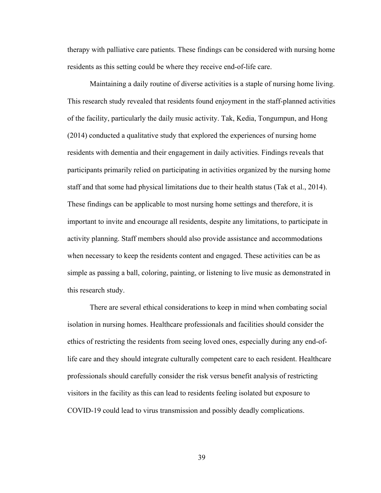therapy with palliative care patients. These findings can be considered with nursing home residents as this setting could be where they receive end-of-life care.

Maintaining a daily routine of diverse activities is a staple of nursing home living. This research study revealed that residents found enjoyment in the staff-planned activities of the facility, particularly the daily music activity. Tak, Kedia, Tongumpun, and Hong (2014) conducted a qualitative study that explored the experiences of nursing home residents with dementia and their engagement in daily activities. Findings reveals that participants primarily relied on participating in activities organized by the nursing home staff and that some had physical limitations due to their health status (Tak et al., 2014). These findings can be applicable to most nursing home settings and therefore, it is important to invite and encourage all residents, despite any limitations, to participate in activity planning. Staff members should also provide assistance and accommodations when necessary to keep the residents content and engaged. These activities can be as simple as passing a ball, coloring, painting, or listening to live music as demonstrated in this research study.

There are several ethical considerations to keep in mind when combating social isolation in nursing homes. Healthcare professionals and facilities should consider the ethics of restricting the residents from seeing loved ones, especially during any end-oflife care and they should integrate culturally competent care to each resident. Healthcare professionals should carefully consider the risk versus benefit analysis of restricting visitors in the facility as this can lead to residents feeling isolated but exposure to COVID-19 could lead to virus transmission and possibly deadly complications.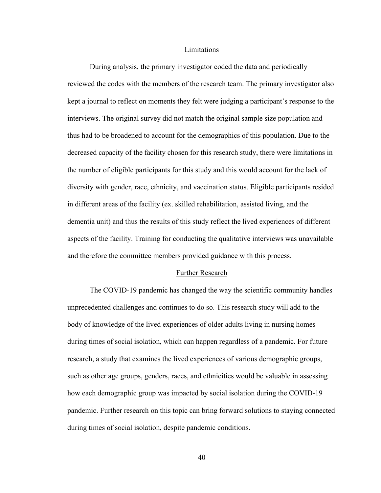#### Limitations

During analysis, the primary investigator coded the data and periodically reviewed the codes with the members of the research team. The primary investigator also kept a journal to reflect on moments they felt were judging a participant's response to the interviews. The original survey did not match the original sample size population and thus had to be broadened to account for the demographics of this population. Due to the decreased capacity of the facility chosen for this research study, there were limitations in the number of eligible participants for this study and this would account for the lack of diversity with gender, race, ethnicity, and vaccination status. Eligible participants resided in different areas of the facility (ex. skilled rehabilitation, assisted living, and the dementia unit) and thus the results of this study reflect the lived experiences of different aspects of the facility. Training for conducting the qualitative interviews was unavailable and therefore the committee members provided guidance with this process.

#### Further Research

The COVID-19 pandemic has changed the way the scientific community handles unprecedented challenges and continues to do so. This research study will add to the body of knowledge of the lived experiences of older adults living in nursing homes during times of social isolation, which can happen regardless of a pandemic. For future research, a study that examines the lived experiences of various demographic groups, such as other age groups, genders, races, and ethnicities would be valuable in assessing how each demographic group was impacted by social isolation during the COVID-19 pandemic. Further research on this topic can bring forward solutions to staying connected during times of social isolation, despite pandemic conditions.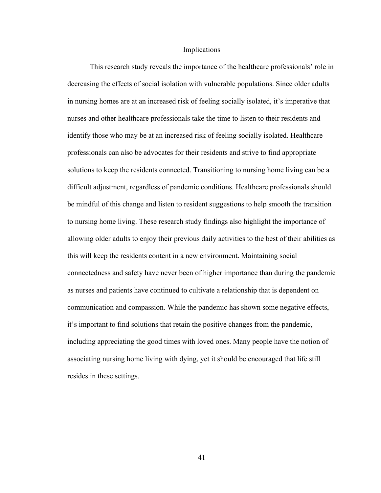#### Implications

This research study reveals the importance of the healthcare professionals' role in decreasing the effects of social isolation with vulnerable populations. Since older adults in nursing homes are at an increased risk of feeling socially isolated, it's imperative that nurses and other healthcare professionals take the time to listen to their residents and identify those who may be at an increased risk of feeling socially isolated. Healthcare professionals can also be advocates for their residents and strive to find appropriate solutions to keep the residents connected. Transitioning to nursing home living can be a difficult adjustment, regardless of pandemic conditions. Healthcare professionals should be mindful of this change and listen to resident suggestions to help smooth the transition to nursing home living. These research study findings also highlight the importance of allowing older adults to enjoy their previous daily activities to the best of their abilities as this will keep the residents content in a new environment. Maintaining social connectedness and safety have never been of higher importance than during the pandemic as nurses and patients have continued to cultivate a relationship that is dependent on communication and compassion. While the pandemic has shown some negative effects, it's important to find solutions that retain the positive changes from the pandemic, including appreciating the good times with loved ones. Many people have the notion of associating nursing home living with dying, yet it should be encouraged that life still resides in these settings.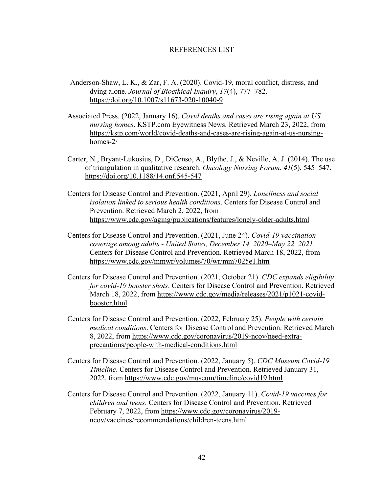## REFERENCES LIST

- Anderson-Shaw, L. K., & Zar, F. A. (2020). Covid-19, moral conflict, distress, and dying alone. *Journal of Bioethical Inquiry*, *17*(4), 777–782. https://doi.org/10.1007/s11673-020-10040-9
- Associated Press. (2022, January 16). *Covid deaths and cases are rising again at US nursing homes*. KSTP.com Eyewitness News. Retrieved March 23, 2022, from https://kstp.com/world/covid-deaths-and-cases-are-rising-again-at-us-nursinghomes-2/
- Carter, N., Bryant-Lukosius, D., DiCenso, A., Blythe, J., & Neville, A. J. (2014). The use of triangulation in qualitative research. *Oncology Nursing Forum*, *41*(5), 545–547. https://doi.org/10.1188/14.onf.545-547
- Centers for Disease Control and Prevention. (2021, April 29). *Loneliness and social isolation linked to serious health conditions*. Centers for Disease Control and Prevention. Retrieved March 2, 2022, from https://www.cdc.gov/aging/publications/features/lonely-older-adults.html
- Centers for Disease Control and Prevention. (2021, June 24). *Covid-19 vaccination coverage among adults - United States, December 14, 2020–May 22, 2021*. Centers for Disease Control and Prevention. Retrieved March 18, 2022, from https://www.cdc.gov/mmwr/volumes/70/wr/mm7025e1.htm
- Centers for Disease Control and Prevention. (2021, October 21). *CDC expands eligibility for covid-19 booster shots*. Centers for Disease Control and Prevention. Retrieved March 18, 2022, from https://www.cdc.gov/media/releases/2021/p1021-covidbooster.html
- Centers for Disease Control and Prevention. (2022, February 25). *People with certain medical conditions*. Centers for Disease Control and Prevention. Retrieved March 8, 2022, from https://www.cdc.gov/coronavirus/2019-ncov/need-extraprecautions/people-with-medical-conditions.html
- Centers for Disease Control and Prevention. (2022, January 5). *CDC Museum Covid-19 Timeline*. Centers for Disease Control and Prevention. Retrieved January 31, 2022, from https://www.cdc.gov/museum/timeline/covid19.html
- Centers for Disease Control and Prevention. (2022, January 11). *Covid-19 vaccines for children and teens*. Centers for Disease Control and Prevention. Retrieved February 7, 2022, from https://www.cdc.gov/coronavirus/2019 ncov/vaccines/recommendations/children-teens.html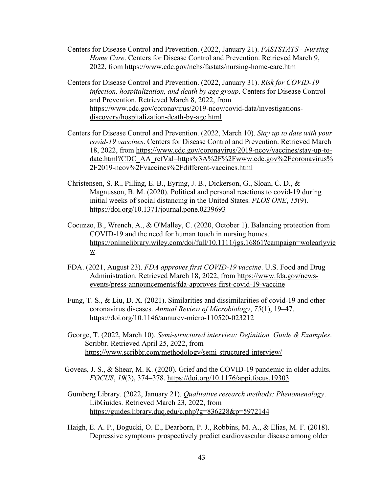- Centers for Disease Control and Prevention. (2022, January 21). *FASTSTATS - Nursing Home Care*. Centers for Disease Control and Prevention. Retrieved March 9, 2022, from https://www.cdc.gov/nchs/fastats/nursing-home-care.htm
- Centers for Disease Control and Prevention. (2022, January 31). *Risk for COVID-19 infection, hospitalization, and death by age group*. Centers for Disease Control and Prevention. Retrieved March 8, 2022, from https://www.cdc.gov/coronavirus/2019-ncov/covid-data/investigationsdiscovery/hospitalization-death-by-age.html
- Centers for Disease Control and Prevention. (2022, March 10). *Stay up to date with your covid-19 vaccines*. Centers for Disease Control and Prevention. Retrieved March 18, 2022, from https://www.cdc.gov/coronavirus/2019-ncov/vaccines/stay-up-todate.html?CDC\_AA\_refVal=https%3A%2F%2Fwww.cdc.gov%2Fcoronavirus% 2F2019-ncov%2Fvaccines%2Fdifferent-vaccines.html
- Christensen, S. R., Pilling, E. B., Eyring, J. B., Dickerson, G., Sloan, C. D., & Magnusson, B. M. (2020). Political and personal reactions to covid-19 during initial weeks of social distancing in the United States. *PLOS ONE*, *15*(9). https://doi.org/10.1371/journal.pone.0239693
- Cocuzzo, B., Wrench, A., & O'Malley, C. (2020, October 1). Balancing protection from COVID-19 and the need for human touch in nursing homes. https://onlinelibrary.wiley.com/doi/full/10.1111/jgs.16861?campaign=wolearlyvie w.
- FDA. (2021, August 23). *FDA approves first COVID-19 vaccine*. U.S. Food and Drug Administration. Retrieved March 18, 2022, from https://www.fda.gov/newsevents/press-announcements/fda-approves-first-covid-19-vaccine
- Fung, T. S., & Liu, D. X. (2021). Similarities and dissimilarities of covid-19 and other coronavirus diseases. *Annual Review of Microbiology*, *75*(1), 19–47. https://doi.org/10.1146/annurev-micro-110520-023212
- George, T. (2022, March 10). *Semi-structured interview: Definition, Guide & Examples*. Scribbr. Retrieved April 25, 2022, from https://www.scribbr.com/methodology/semi-structured-interview/
- Goveas, J. S., & Shear, M. K. (2020). Grief and the COVID-19 pandemic in older adults. *FOCUS*, *19*(3), 374–378. https://doi.org/10.1176/appi.focus.19303
- Gumberg Library. (2022, January 21). *Qualitative research methods: Phenomenology*. LibGuides. Retrieved March 23, 2022, from https://guides.library.duq.edu/c.php?g=836228&p=5972144
- Haigh, E. A. P., Bogucki, O. E., Dearborn, P. J., Robbins, M. A., & Elias, M. F. (2018). Depressive symptoms prospectively predict cardiovascular disease among older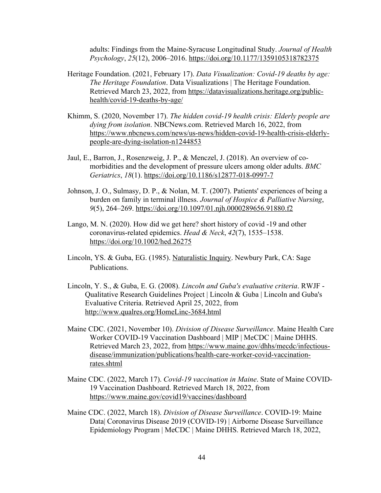adults: Findings from the Maine-Syracuse Longitudinal Study. *Journal of Health Psychology*, *25*(12), 2006–2016. https://doi.org/10.1177/1359105318782375

- Heritage Foundation. (2021, February 17). *Data Visualization: Covid-19 deaths by age: The Heritage Foundation*. Data Visualizations | The Heritage Foundation. Retrieved March 23, 2022, from https://datavisualizations.heritage.org/publichealth/covid-19-deaths-by-age/
- Khimm, S. (2020, November 17). *The hidden covid-19 health crisis: Elderly people are dying from isolation*. NBCNews.com. Retrieved March 16, 2022, from https://www.nbcnews.com/news/us-news/hidden-covid-19-health-crisis-elderlypeople-are-dying-isolation-n1244853
- Jaul, E., Barron, J., Rosenzweig, J. P., & Menczel, J. (2018). An overview of comorbidities and the development of pressure ulcers among older adults. *BMC Geriatrics*, *18*(1). https://doi.org/10.1186/s12877-018-0997-7
- Johnson, J. O., Sulmasy, D. P., & Nolan, M. T. (2007). Patients' experiences of being a burden on family in terminal illness. *Journal of Hospice & Palliative Nursing*, *9*(5), 264–269. https://doi.org/10.1097/01.njh.0000289656.91880.f2
- Lango, M. N. (2020). How did we get here? short history of covid ‐19 and other coronavirus‐related epidemics. *Head & Neck*, *42*(7), 1535–1538. https://doi.org/10.1002/hed.26275
- Lincoln, YS. & Guba, EG. (1985). Naturalistic Inquiry. Newbury Park, CA: Sage Publications.
- Lincoln, Y. S., & Guba, E. G. (2008). *Lincoln and Guba's evaluative criteria*. RWJF Qualitative Research Guidelines Project | Lincoln & Guba | Lincoln and Guba's Evaluative Criteria. Retrieved April 25, 2022, from http://www.qualres.org/HomeLinc-3684.html
- Maine CDC. (2021, November 10). *Division of Disease Surveillance*. Maine Health Care Worker COVID-19 Vaccination Dashboard | MIP | MeCDC | Maine DHHS. Retrieved March 23, 2022, from https://www.maine.gov/dhhs/mecdc/infectiousdisease/immunization/publications/health-care-worker-covid-vaccinationrates.shtml
- Maine CDC. (2022, March 17). *Covid-19 vaccination in Maine*. State of Maine COVID-19 Vaccination Dashboard. Retrieved March 18, 2022, from https://www.maine.gov/covid19/vaccines/dashboard
- Maine CDC. (2022, March 18). *Division of Disease Surveillance*. COVID-19: Maine Data| Coronavirus Disease 2019 (COVID-19) | Airborne Disease Surveillance Epidemiology Program | MeCDC | Maine DHHS. Retrieved March 18, 2022,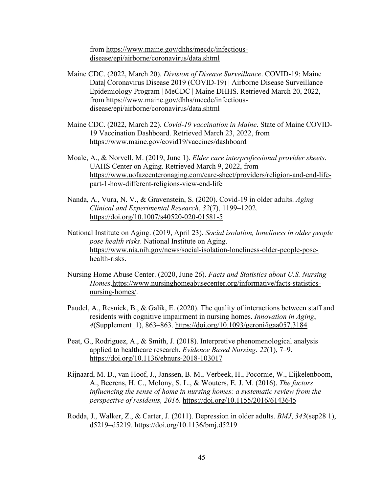from https://www.maine.gov/dhhs/mecdc/infectiousdisease/epi/airborne/coronavirus/data.shtml

- Maine CDC. (2022, March 20). *Division of Disease Surveillance*. COVID-19: Maine Data| Coronavirus Disease 2019 (COVID-19) | Airborne Disease Surveillance Epidemiology Program | MeCDC | Maine DHHS. Retrieved March 20, 2022, from https://www.maine.gov/dhhs/mecdc/infectiousdisease/epi/airborne/coronavirus/data.shtml
- Maine CDC. (2022, March 22). *Covid-19 vaccination in Maine*. State of Maine COVID-19 Vaccination Dashboard. Retrieved March 23, 2022, from https://www.maine.gov/covid19/vaccines/dashboard
- Moale, A., & Norvell, M. (2019, June 1). *Elder care interprofessional provider sheets*. UAHS Center on Aging. Retrieved March 9, 2022, from https://www.uofazcenteronaging.com/care-sheet/providers/religion-and-end-lifepart-1-how-different-religions-view-end-life
- Nanda, A., Vura, N. V., & Gravenstein, S. (2020). Covid-19 in older adults. *Aging Clinical and Experimental Research*, *32*(7), 1199–1202. https://doi.org/10.1007/s40520-020-01581-5
- National Institute on Aging. (2019, April 23). *Social isolation, loneliness in older people pose health risks*. National Institute on Aging. https://www.nia.nih.gov/news/social-isolation-loneliness-older-people-posehealth-risks.
- Nursing Home Abuse Center. (2020, June 26). *Facts and Statistics about U.S. Nursing Homes*.https://www.nursinghomeabusecenter.org/informative/facts-statisticsnursing-homes/.
- Paudel, A., Resnick, B., & Galik, E. (2020). The quality of interactions between staff and residents with cognitive impairment in nursing homes. *Innovation in Aging*, *4*(Supplement\_1), 863–863. https://doi.org/10.1093/geroni/igaa057.3184
- Peat, G., Rodriguez, A., & Smith, J. (2018). Interpretive phenomenological analysis applied to healthcare research. *Evidence Based Nursing*, *22*(1), 7–9. https://doi.org/10.1136/ebnurs-2018-103017
- Rijnaard, M. D., van Hoof, J., Janssen, B. M., Verbeek, H., Pocornie, W., Eijkelenboom, A., Beerens, H. C., Molony, S. L., & Wouters, E. J. M. (2016). *The factors influencing the sense of home in nursing homes: a systematic review from the perspective of residents, 2016*. https://doi.org/10.1155/2016/6143645
- Rodda, J., Walker, Z., & Carter, J. (2011). Depression in older adults. *BMJ*, *343*(sep28 1), d5219–d5219. https://doi.org/10.1136/bmj.d5219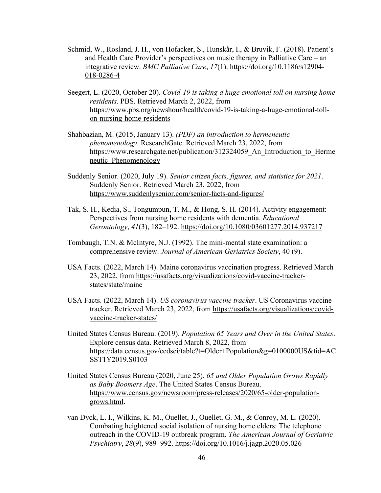- Schmid, W., Rosland, J. H., von Hofacker, S., Hunskår, I., & Bruvik, F. (2018). Patient's and Health Care Provider's perspectives on music therapy in Palliative Care – an integrative review. *BMC Palliative Care*, *17*(1). https://doi.org/10.1186/s12904- 018-0286-4
- Seegert, L. (2020, October 20). *Covid-19 is taking a huge emotional toll on nursing home residents*. PBS. Retrieved March 2, 2022, from https://www.pbs.org/newshour/health/covid-19-is-taking-a-huge-emotional-tollon-nursing-home-residents
- Shahbazian, M. (2015, January 13). *(PDF) an introduction to hermeneutic phenomenology*. ResearchGate. Retrieved March 23, 2022, from https://www.researchgate.net/publication/312324059 An Introduction to Herme neutic\_Phenomenology
- Suddenly Senior. (2020, July 19). *Senior citizen facts, figures, and statistics for 2021*. Suddenly Senior. Retrieved March 23, 2022, from https://www.suddenlysenior.com/senior-facts-and-figures/
- Tak, S. H., Kedia, S., Tongumpun, T. M., & Hong, S. H. (2014). Activity engagement: Perspectives from nursing home residents with dementia. *Educational Gerontology*, *41*(3), 182–192. https://doi.org/10.1080/03601277.2014.937217
- Tombaugh, T.N. & McIntyre, N.J. (1992). The mini-mental state examination: a comprehensive review. *Journal of American Geriatrics Society*, 40 (9).
- USA Facts. (2022, March 14). Maine coronavirus vaccination progress. Retrieved March 23, 2022, from https://usafacts.org/visualizations/covid-vaccine-trackerstates/state/maine
- USA Facts. (2022, March 14). *US coronavirus vaccine tracker*. US Coronavirus vaccine tracker. Retrieved March 23, 2022, from https://usafacts.org/visualizations/covidvaccine-tracker-states/
- United States Census Bureau. (2019). *Population 65 Years and Over in the United States*. Explore census data. Retrieved March 8, 2022, from https://data.census.gov/cedsci/table?t=Older+Population&g=0100000US&tid=AC SST1Y2019.S0103
- United States Census Bureau (2020, June 25). *65 and Older Population Grows Rapidly as Baby Boomers Age*. The United States Census Bureau. https://www.census.gov/newsroom/press-releases/2020/65-older-populationgrows.html.
- van Dyck, L. I., Wilkins, K. M., Ouellet, J., Ouellet, G. M., & Conroy, M. L. (2020). Combating heightened social isolation of nursing home elders: The telephone outreach in the COVID-19 outbreak program. *The American Journal of Geriatric Psychiatry*, *28*(9), 989–992. https://doi.org/10.1016/j.jagp.2020.05.026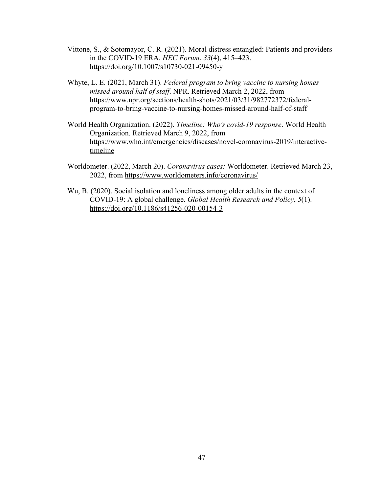- Vittone, S., & Sotomayor, C. R. (2021). Moral distress entangled: Patients and providers in the COVID-19 ERA. *HEC Forum*, *33*(4), 415–423. https://doi.org/10.1007/s10730-021-09450-y
- Whyte, L. E. (2021, March 31). *Federal program to bring vaccine to nursing homes missed around half of staff*. NPR. Retrieved March 2, 2022, from https://www.npr.org/sections/health-shots/2021/03/31/982772372/federalprogram-to-bring-vaccine-to-nursing-homes-missed-around-half-of-staff
- World Health Organization. (2022). *Timeline: Who's covid-19 response*. World Health Organization. Retrieved March 9, 2022, from https://www.who.int/emergencies/diseases/novel-coronavirus-2019/interactivetimeline
- Worldometer. (2022, March 20). *Coronavirus cases:* Worldometer. Retrieved March 23, 2022, from https://www.worldometers.info/coronavirus/
- Wu, B. (2020). Social isolation and loneliness among older adults in the context of COVID-19: A global challenge. *Global Health Research and Policy*, *5*(1). https://doi.org/10.1186/s41256-020-00154-3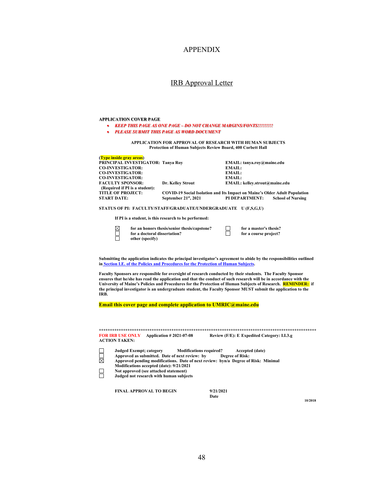## APPENDIX

#### IRB Approval Letter

#### **APPLICATION COVER PAGE**

- *KEEP THIS PAGE AS ONE PAGE – DO NOT CHANGE MARGINS/FONTS!!!!!!!!!*
- *PLEASE SUBMIT THIS PAGE AS WORD DOCUMENT*

**APPLICATION FOR APPROVAL OF RESEARCH WITH HUMAN SUBJECTS Protection of Human Subjects Review Board, 400 Corbett Hall**

| (Type inside gray areas)          |                      |                                                                                   |                          |
|-----------------------------------|----------------------|-----------------------------------------------------------------------------------|--------------------------|
| PRINCIPAL INVESTIGATOR: Tanya Roy |                      | EMAIL: tanya.roy@maine.edu                                                        |                          |
| <b>CO-INVESTIGATOR:</b>           |                      | EMAIL:                                                                            |                          |
| <b>CO-INVESTIGATOR:</b>           |                      | EMAIL:                                                                            |                          |
| <b>CO-INVESTIGATOR:</b>           |                      | EMAIL:                                                                            |                          |
| <b>FACULTY SPONSOR:</b>           | Dr. Kelley Strout    | EMAIL: kellev.strout@maine.edu                                                    |                          |
| (Required if PI is a student):    |                      |                                                                                   |                          |
| <b>TITLE OF PROJECT:</b>          |                      | <b>COVID-19 Social Isolation and Its Impact on Maine's Older Adult Population</b> |                          |
| <b>START DATE:</b>                | September 21st, 2021 | <b>PI DEPARTMENT:</b>                                                             | <b>School of Nursing</b> |
|                                   |                      |                                                                                   |                          |

**STATUS OF PI: FACULTY/STAFF/GRADUATE/UNDERGRADUATE U (F,S,G,U)**

**If PI is a student, is this research to be performed:**

| ⊠ | for an honors thesis/senior thesis/capstone?<br>for a doctoral dissertation? | for a master's thesis?<br>for a course project? |
|---|------------------------------------------------------------------------------|-------------------------------------------------|
|   | other (specify)                                                              |                                                 |

**Submitting the application indicates the principal investigator's agreement to abide by the responsibilities outlined in Section I.E. of the Policies and Procedures for the Protection of Human Subjects.** 

**Faculty Sponsors are responsible for oversight of research conducted by their students. The Faculty Sponsor ensures that he/she has read the application and that the conduct of such research will be in accordance with the University of Maine's Policies and Procedures for the Protection of Human Subjects of Research. REMINDER: if the principal investigator is an undergraduate student, the Faculty Sponsor MUST submit the application to the IRB.** 

**Email this cover page and complete application to UMRIC@maine.edu**

**\*\*\*\*\*\*\*\*\*\*\*\*\*\*\*\*\*\*\*\*\*\*\*\*\*\*\*\*\*\*\*\*\*\*\*\*\*\*\*\*\*\*\*\*\*\*\*\*\*\*\*\*\*\*\*\*\*\*\*\*\*\*\*\*\*\*\*\*\*\*\*\*\*\*\*\*\*\*\*\*\*\*\*\*\*\*\*\*\*\*\*\*\*\*\*\*\*\*\* FOR IRB USE ONLY** Application # 2021-07-08 **ACTION TAKEN: NUU Judged Exempt; category Modifications required? Accepted (date)** Approved as submitted. Date of next review: by **Approved pending modifications. Date of next review: byn/a Degree of Risk: Minimal Modifications accepted (date): 9/21/2021** R **Not approved (see attached statement) Judged not research with human subjects**

**FINAL APPROVAL TO BEGIN 9/21/2021**

**Date**

**10/2018**